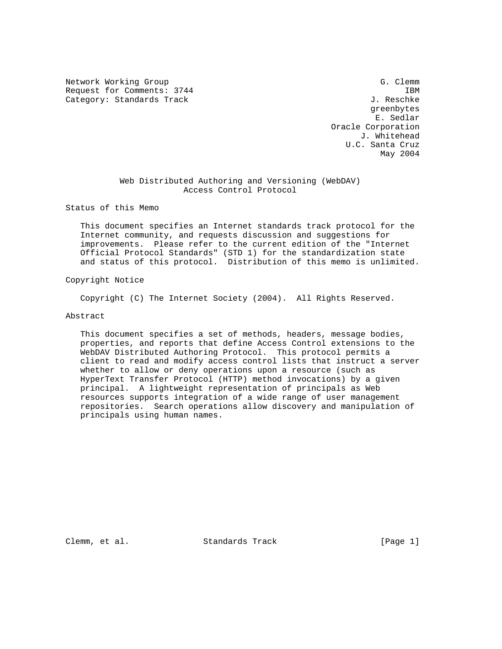Network Working Group G. Clemm Request for Comments: 3744 IBM Category: Standards Track J. Reschke

 greenbytes E. Sedlar Oracle Corporation J. Whitehead U.C. Santa Cruz May 2004

# Web Distributed Authoring and Versioning (WebDAV) Access Control Protocol

Status of this Memo

 This document specifies an Internet standards track protocol for the Internet community, and requests discussion and suggestions for improvements. Please refer to the current edition of the "Internet Official Protocol Standards" (STD 1) for the standardization state and status of this protocol. Distribution of this memo is unlimited.

# Copyright Notice

Copyright (C) The Internet Society (2004). All Rights Reserved.

# Abstract

 This document specifies a set of methods, headers, message bodies, properties, and reports that define Access Control extensions to the WebDAV Distributed Authoring Protocol. This protocol permits a client to read and modify access control lists that instruct a server whether to allow or deny operations upon a resource (such as HyperText Transfer Protocol (HTTP) method invocations) by a given principal. A lightweight representation of principals as Web resources supports integration of a wide range of user management repositories. Search operations allow discovery and manipulation of principals using human names.

Clemm, et al. Standards Track [Page 1]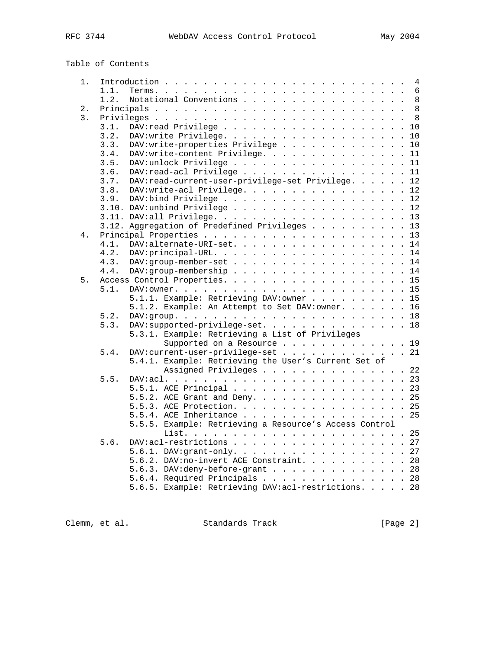| Table of Contents |
|-------------------|
|-------------------|

| 1. |      | 4                                                      |
|----|------|--------------------------------------------------------|
|    | 1.1. | 6                                                      |
|    | 1.2. | Notational Conventions<br>$\,8\,$                      |
| 2. |      | 8                                                      |
| 3. |      | 8                                                      |
|    | 3.1. | 10                                                     |
|    | 3.2. | 10                                                     |
|    | 3.3. | DAV:write-properties Privilege<br>10                   |
|    | 3.4. | DAV:write-content Privilege.<br>11                     |
|    | 3.5. | 11                                                     |
|    | 3.6. | DAV:read-acl Privilege<br>11                           |
|    | 3.7. | DAV:read-current-user-privilege-set Privilege.<br>12   |
|    | 3.8. | DAV:write-acl Privilege. 12                            |
|    | 3.9. | 12                                                     |
|    |      | 12                                                     |
|    |      |                                                        |
|    |      | 13                                                     |
|    |      | 3.12. Aggregation of Predefined Privileges<br>13       |
| 4. |      | 13                                                     |
|    | 4.1. | DAV:alternate-URI-set.<br>14                           |
|    | 4.2. | 14                                                     |
|    | 4.3. | DAV:group-member-set 14                                |
|    | 4.4. | 14                                                     |
| 5. |      | 15                                                     |
|    | 5.1. |                                                        |
|    |      | 5.1.1. Example: Retrieving DAV: owner 15               |
|    |      | 5.1.2. Example: An Attempt to Set DAV: owner. 16       |
|    | 5.2. |                                                        |
|    | 5.3. | DAV:supported-privilege-set. 18                        |
|    |      | 5.3.1. Example: Retrieving a List of Privileges        |
|    |      | Supported on a Resource 19                             |
|    | 5.4. | DAV: current-user-privilege-set 21                     |
|    |      | 5.4.1. Example: Retrieving the User's Current Set of   |
|    |      | Assigned Privileges 22                                 |
|    | 5.5. |                                                        |
|    |      | 5.5.1. ACE Principal 23                                |
|    |      | 5.5.2. ACE Grant and Deny. 25                          |
|    |      | 5.5.3. ACE Protection. 25                              |
|    |      | 5.5.4. ACE Inheritance 25                              |
|    |      | 5.5.5. Example: Retrieving a Resource's Access Control |
|    |      |                                                        |
|    | 5.6. | DAV:acl-restrictions 27                                |
|    |      | 5.6.1. DAV:grant-only. 27                              |
|    |      | 5.6.2. DAV:no-invert ACE Constraint. 28                |
|    |      |                                                        |
|    |      | 5.6.3. DAV: deny-before-grant 28                       |
|    |      | 5.6.4. Required Principals 28                          |
|    |      | 5.6.5. Example: Retrieving DAV: acl-restrictions. 28   |

Clemm, et al. Standards Track [Page 2]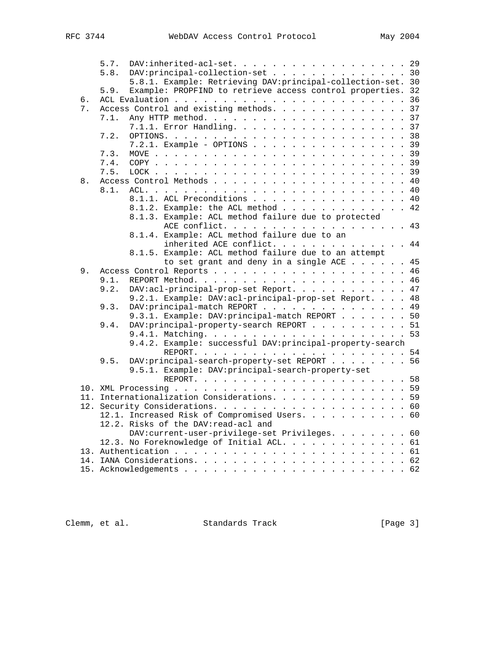|    | 5.7. | DAV: inherited-acl-set. 29                                   |
|----|------|--------------------------------------------------------------|
|    | 5.8. | DAV: principal-collection-set 30                             |
|    |      | 5.8.1. Example: Retrieving DAV: principal-collection-set. 30 |
|    | 5.9. | Example: PROPFIND to retrieve access control properties. 32  |
| б. |      |                                                              |
| 7. |      | Access Control and existing methods. 37                      |
|    | 7.1. |                                                              |
|    |      | 7.1.1. Error Handling. 37                                    |
|    | 7.2. |                                                              |
|    |      | 7.2.1. Example - OPTIONS 39                                  |
|    | 7.3. |                                                              |
|    | 7.4. |                                                              |
|    | 7.5. |                                                              |
| 8. |      |                                                              |
|    | 8.1. |                                                              |
|    |      | 8.1.1. ACL Preconditions 40                                  |
|    |      | 8.1.2. Example: the ACL method 42                            |
|    |      | 8.1.3. Example: ACL method failure due to protected          |
|    |      | ACE conflict. 43                                             |
|    |      | 8.1.4. Example: ACL method failure due to an                 |
|    |      | inherited ACE conflict. 44                                   |
|    |      | 8.1.5. Example: ACL method failure due to an attempt         |
|    |      | to set grant and deny in a single ACE 45                     |
| 9. |      |                                                              |
|    | 9.1. |                                                              |
|    | 9.2. | DAV:acl-principal-prop-set Report. 47                        |
|    |      | 9.2.1. Example: DAV:acl-principal-prop-set Report. 48        |
|    | 9.3. | DAV: principal-match REPORT 49                               |
|    |      | 9.3.1. Example: DAV: principal-match REPORT 50               |
|    | 9.4. | DAV: principal-property-search REPORT 51                     |
|    |      |                                                              |
|    |      | 9.4.2. Example: successful DAV: principal-property-search    |
|    |      |                                                              |
|    | 9.5. | DAV: principal-search-property-set REPORT 56                 |
|    |      | 9.5.1. Example: DAV: principal-search-property-set           |
|    |      |                                                              |
|    |      |                                                              |
|    |      | 11. Internationalization Considerations. 59                  |
|    |      |                                                              |
|    |      | 12.1. Increased Risk of Compromised Users. 60                |
|    |      | 12.2. Risks of the DAV: read-acl and                         |
|    |      | DAV: current-user-privilege-set Privileges. 60               |
|    |      | 12.3. No Foreknowledge of Initial ACL. 61                    |
|    |      |                                                              |
|    |      |                                                              |
|    |      |                                                              |
|    |      |                                                              |

Clemm, et al. Standards Track [Page 3]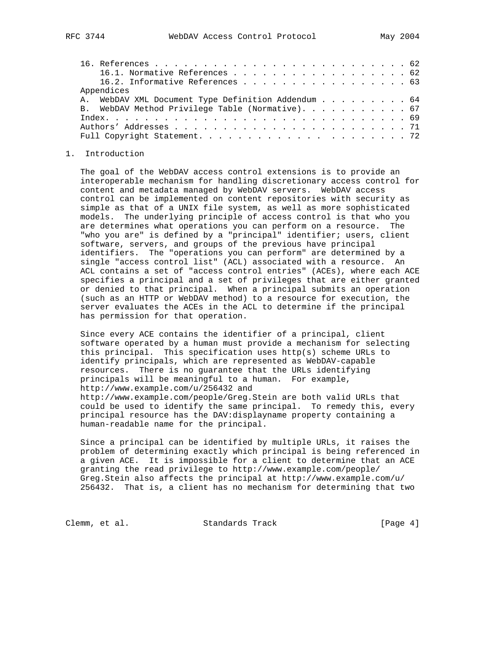| 16.1. Normative References 62                      |  |
|----------------------------------------------------|--|
| 16.2. Informative References 63                    |  |
| Appendices                                         |  |
| A. WebDAV XML Document Type Definition Addendum 64 |  |
| B. WebDAV Method Privilege Table (Normative). 67   |  |
|                                                    |  |
|                                                    |  |
|                                                    |  |

# 1. Introduction

 The goal of the WebDAV access control extensions is to provide an interoperable mechanism for handling discretionary access control for content and metadata managed by WebDAV servers. WebDAV access control can be implemented on content repositories with security as simple as that of a UNIX file system, as well as more sophisticated models. The underlying principle of access control is that who you are determines what operations you can perform on a resource. The "who you are" is defined by a "principal" identifier; users, client software, servers, and groups of the previous have principal identifiers. The "operations you can perform" are determined by a single "access control list" (ACL) associated with a resource. An ACL contains a set of "access control entries" (ACEs), where each ACE specifies a principal and a set of privileges that are either granted or denied to that principal. When a principal submits an operation (such as an HTTP or WebDAV method) to a resource for execution, the server evaluates the ACEs in the ACL to determine if the principal has permission for that operation.

 Since every ACE contains the identifier of a principal, client software operated by a human must provide a mechanism for selecting this principal. This specification uses http(s) scheme URLs to identify principals, which are represented as WebDAV-capable resources. There is no guarantee that the URLs identifying principals will be meaningful to a human. For example, http://www.example.com/u/256432 and http://www.example.com/people/Greg.Stein are both valid URLs that could be used to identify the same principal. To remedy this, every principal resource has the DAV:displayname property containing a human-readable name for the principal.

 Since a principal can be identified by multiple URLs, it raises the problem of determining exactly which principal is being referenced in a given ACE. It is impossible for a client to determine that an ACE granting the read privilege to http://www.example.com/people/ Greg.Stein also affects the principal at http://www.example.com/u/ 256432. That is, a client has no mechanism for determining that two

Clemm, et al. Standards Track [Page 4]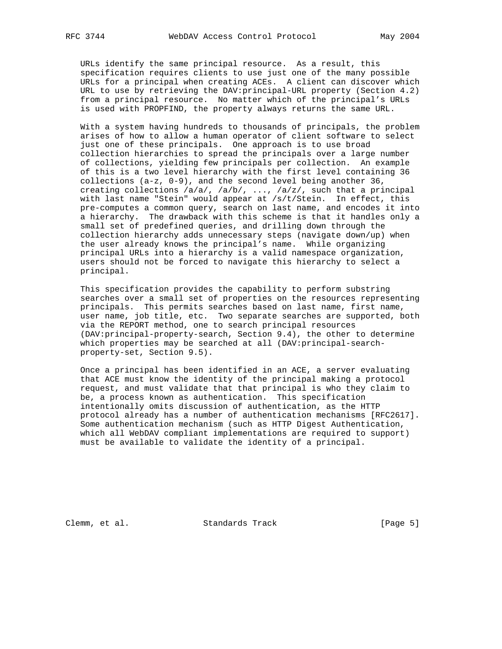URLs identify the same principal resource. As a result, this specification requires clients to use just one of the many possible URLs for a principal when creating ACEs. A client can discover which URL to use by retrieving the DAV:principal-URL property (Section 4.2) from a principal resource. No matter which of the principal's URLs is used with PROPFIND, the property always returns the same URL.

 With a system having hundreds to thousands of principals, the problem arises of how to allow a human operator of client software to select just one of these principals. One approach is to use broad collection hierarchies to spread the principals over a large number of collections, yielding few principals per collection. An example of this is a two level hierarchy with the first level containing 36 collections (a-z, 0-9), and the second level being another 36, creating collections /a/a/, /a/b/, ..., /a/z/, such that a principal with last name "Stein" would appear at /s/t/Stein. In effect, this pre-computes a common query, search on last name, and encodes it into a hierarchy. The drawback with this scheme is that it handles only a small set of predefined queries, and drilling down through the collection hierarchy adds unnecessary steps (navigate down/up) when the user already knows the principal's name. While organizing principal URLs into a hierarchy is a valid namespace organization, users should not be forced to navigate this hierarchy to select a principal.

 This specification provides the capability to perform substring searches over a small set of properties on the resources representing principals. This permits searches based on last name, first name, user name, job title, etc. Two separate searches are supported, both via the REPORT method, one to search principal resources (DAV:principal-property-search, Section 9.4), the other to determine which properties may be searched at all (DAV: principal-searchproperty-set, Section 9.5).

 Once a principal has been identified in an ACE, a server evaluating that ACE must know the identity of the principal making a protocol request, and must validate that that principal is who they claim to be, a process known as authentication. This specification intentionally omits discussion of authentication, as the HTTP protocol already has a number of authentication mechanisms [RFC2617]. Some authentication mechanism (such as HTTP Digest Authentication, which all WebDAV compliant implementations are required to support) must be available to validate the identity of a principal.

Clemm, et al. Standards Track [Page 5]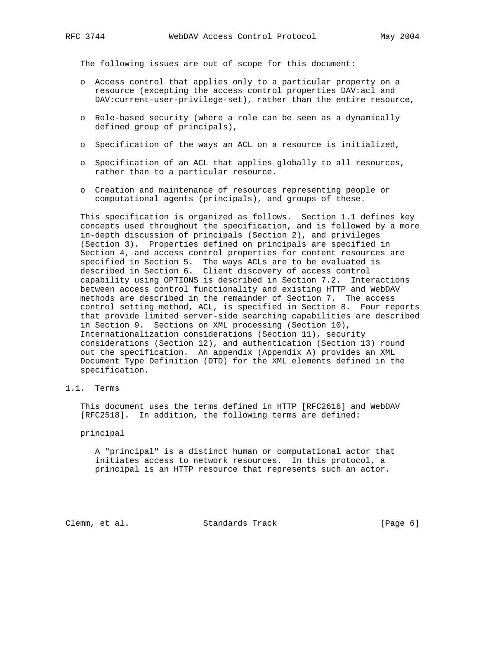The following issues are out of scope for this document:

- o Access control that applies only to a particular property on a resource (excepting the access control properties DAV:acl and DAV:current-user-privilege-set), rather than the entire resource,
- o Role-based security (where a role can be seen as a dynamically defined group of principals),
- o Specification of the ways an ACL on a resource is initialized,
- o Specification of an ACL that applies globally to all resources, rather than to a particular resource.
- o Creation and maintenance of resources representing people or computational agents (principals), and groups of these.

 This specification is organized as follows. Section 1.1 defines key concepts used throughout the specification, and is followed by a more in-depth discussion of principals (Section 2), and privileges (Section 3). Properties defined on principals are specified in Section 4, and access control properties for content resources are specified in Section 5. The ways ACLs are to be evaluated is described in Section 6. Client discovery of access control capability using OPTIONS is described in Section 7.2. Interactions between access control functionality and existing HTTP and WebDAV methods are described in the remainder of Section 7. The access control setting method, ACL, is specified in Section 8. Four reports that provide limited server-side searching capabilities are described in Section 9. Sections on XML processing (Section 10), Internationalization considerations (Section 11), security considerations (Section 12), and authentication (Section 13) round out the specification. An appendix (Appendix A) provides an XML Document Type Definition (DTD) for the XML elements defined in the specification.

1.1. Terms

 This document uses the terms defined in HTTP [RFC2616] and WebDAV [RFC2518]. In addition, the following terms are defined:

#### principal

 A "principal" is a distinct human or computational actor that initiates access to network resources. In this protocol, a principal is an HTTP resource that represents such an actor.

Clemm, et al. Standards Track [Page 6]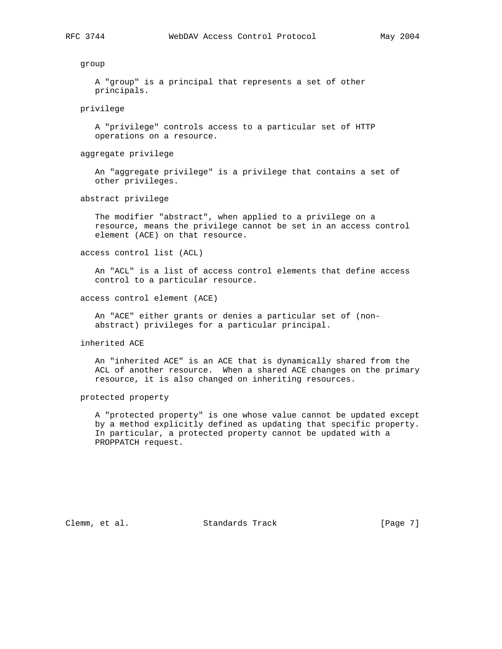group

 A "group" is a principal that represents a set of other principals.

privilege

 A "privilege" controls access to a particular set of HTTP operations on a resource.

aggregate privilege

 An "aggregate privilege" is a privilege that contains a set of other privileges.

abstract privilege

 The modifier "abstract", when applied to a privilege on a resource, means the privilege cannot be set in an access control element (ACE) on that resource.

access control list (ACL)

 An "ACL" is a list of access control elements that define access control to a particular resource.

access control element (ACE)

 An "ACE" either grants or denies a particular set of (non abstract) privileges for a particular principal.

inherited ACE

 An "inherited ACE" is an ACE that is dynamically shared from the ACL of another resource. When a shared ACE changes on the primary resource, it is also changed on inheriting resources.

protected property

 A "protected property" is one whose value cannot be updated except by a method explicitly defined as updating that specific property. In particular, a protected property cannot be updated with a PROPPATCH request.

Clemm, et al. Standards Track [Page 7]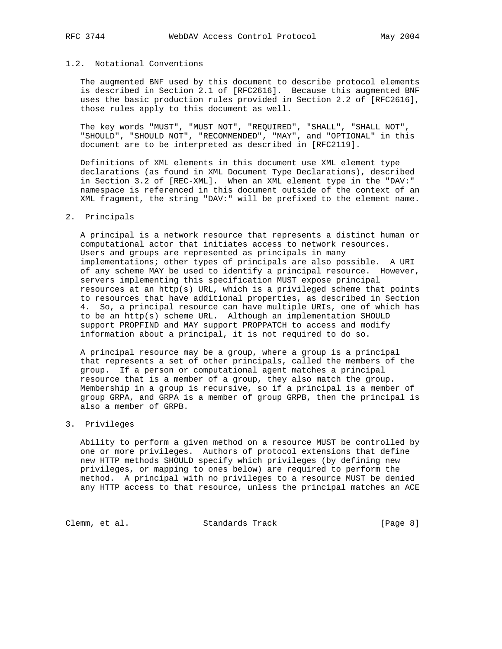# 1.2. Notational Conventions

 The augmented BNF used by this document to describe protocol elements is described in Section 2.1 of [RFC2616]. Because this augmented BNF uses the basic production rules provided in Section 2.2 of [RFC2616], those rules apply to this document as well.

 The key words "MUST", "MUST NOT", "REQUIRED", "SHALL", "SHALL NOT", "SHOULD", "SHOULD NOT", "RECOMMENDED", "MAY", and "OPTIONAL" in this document are to be interpreted as described in [RFC2119].

 Definitions of XML elements in this document use XML element type declarations (as found in XML Document Type Declarations), described in Section 3.2 of [REC-XML]. When an XML element type in the "DAV:" namespace is referenced in this document outside of the context of an XML fragment, the string "DAV:" will be prefixed to the element name.

# 2. Principals

 A principal is a network resource that represents a distinct human or computational actor that initiates access to network resources. Users and groups are represented as principals in many implementations; other types of principals are also possible. A URI of any scheme MAY be used to identify a principal resource. However, servers implementing this specification MUST expose principal resources at an http(s) URL, which is a privileged scheme that points to resources that have additional properties, as described in Section 4. So, a principal resource can have multiple URIs, one of which has to be an http(s) scheme URL. Although an implementation SHOULD support PROPFIND and MAY support PROPPATCH to access and modify information about a principal, it is not required to do so.

 A principal resource may be a group, where a group is a principal that represents a set of other principals, called the members of the group. If a person or computational agent matches a principal resource that is a member of a group, they also match the group. Membership in a group is recursive, so if a principal is a member of group GRPA, and GRPA is a member of group GRPB, then the principal is also a member of GRPB.

# 3. Privileges

 Ability to perform a given method on a resource MUST be controlled by one or more privileges. Authors of protocol extensions that define new HTTP methods SHOULD specify which privileges (by defining new privileges, or mapping to ones below) are required to perform the method. A principal with no privileges to a resource MUST be denied any HTTP access to that resource, unless the principal matches an ACE

Clemm, et al. Standards Track [Page 8]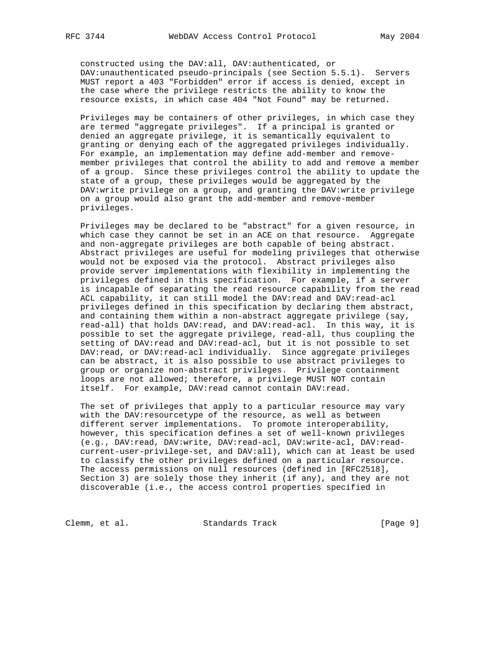constructed using the DAV:all, DAV:authenticated, or DAV:unauthenticated pseudo-principals (see Section 5.5.1). Servers MUST report a 403 "Forbidden" error if access is denied, except in the case where the privilege restricts the ability to know the resource exists, in which case 404 "Not Found" may be returned.

 Privileges may be containers of other privileges, in which case they are termed "aggregate privileges". If a principal is granted or denied an aggregate privilege, it is semantically equivalent to granting or denying each of the aggregated privileges individually. For example, an implementation may define add-member and remove member privileges that control the ability to add and remove a member of a group. Since these privileges control the ability to update the state of a group, these privileges would be aggregated by the DAV:write privilege on a group, and granting the DAV:write privilege on a group would also grant the add-member and remove-member privileges.

 Privileges may be declared to be "abstract" for a given resource, in which case they cannot be set in an ACE on that resource. Aggregate and non-aggregate privileges are both capable of being abstract. Abstract privileges are useful for modeling privileges that otherwise would not be exposed via the protocol. Abstract privileges also provide server implementations with flexibility in implementing the privileges defined in this specification. For example, if a server is incapable of separating the read resource capability from the read ACL capability, it can still model the DAV:read and DAV:read-acl privileges defined in this specification by declaring them abstract, and containing them within a non-abstract aggregate privilege (say, read-all) that holds DAV:read, and DAV:read-acl. In this way, it is possible to set the aggregate privilege, read-all, thus coupling the setting of DAV:read and DAV:read-acl, but it is not possible to set DAV:read, or DAV:read-acl individually. Since aggregate privileges can be abstract, it is also possible to use abstract privileges to group or organize non-abstract privileges. Privilege containment loops are not allowed; therefore, a privilege MUST NOT contain itself. For example, DAV:read cannot contain DAV:read.

 The set of privileges that apply to a particular resource may vary with the DAV:resourcetype of the resource, as well as between different server implementations. To promote interoperability, however, this specification defines a set of well-known privileges (e.g., DAV:read, DAV:write, DAV:read-acl, DAV:write-acl, DAV:read current-user-privilege-set, and DAV:all), which can at least be used to classify the other privileges defined on a particular resource. The access permissions on null resources (defined in [RFC2518], Section 3) are solely those they inherit (if any), and they are not discoverable (i.e., the access control properties specified in

Clemm, et al. Standards Track [Page 9]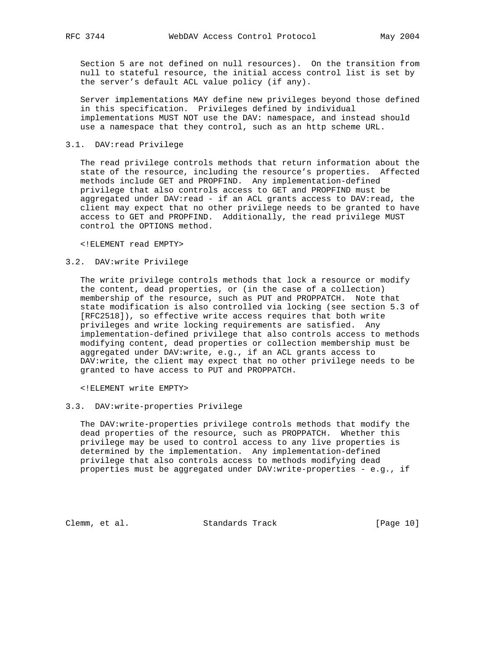Section 5 are not defined on null resources). On the transition from null to stateful resource, the initial access control list is set by the server's default ACL value policy (if any).

 Server implementations MAY define new privileges beyond those defined in this specification. Privileges defined by individual implementations MUST NOT use the DAV: namespace, and instead should use a namespace that they control, such as an http scheme URL.

# 3.1. DAV:read Privilege

 The read privilege controls methods that return information about the state of the resource, including the resource's properties. Affected methods include GET and PROPFIND. Any implementation-defined privilege that also controls access to GET and PROPFIND must be aggregated under DAV:read - if an ACL grants access to DAV:read, the client may expect that no other privilege needs to be granted to have access to GET and PROPFIND. Additionally, the read privilege MUST control the OPTIONS method.

<!ELEMENT read EMPTY>

# 3.2. DAV:write Privilege

 The write privilege controls methods that lock a resource or modify the content, dead properties, or (in the case of a collection) membership of the resource, such as PUT and PROPPATCH. Note that state modification is also controlled via locking (see section 5.3 of [RFC2518]), so effective write access requires that both write privileges and write locking requirements are satisfied. Any implementation-defined privilege that also controls access to methods modifying content, dead properties or collection membership must be aggregated under DAV:write, e.g., if an ACL grants access to DAV:write, the client may expect that no other privilege needs to be granted to have access to PUT and PROPPATCH.

<!ELEMENT write EMPTY>

### 3.3. DAV:write-properties Privilege

 The DAV:write-properties privilege controls methods that modify the dead properties of the resource, such as PROPPATCH. Whether this privilege may be used to control access to any live properties is determined by the implementation. Any implementation-defined privilege that also controls access to methods modifying dead properties must be aggregated under DAV:write-properties - e.g., if

Clemm, et al. Standards Track [Page 10]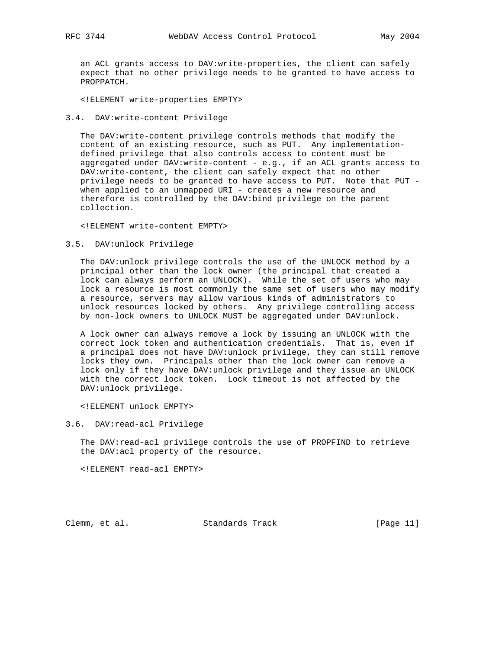an ACL grants access to DAV:write-properties, the client can safely expect that no other privilege needs to be granted to have access to PROPPATCH.

<!ELEMENT write-properties EMPTY>

#### 3.4. DAV:write-content Privilege

 The DAV:write-content privilege controls methods that modify the content of an existing resource, such as PUT. Any implementation defined privilege that also controls access to content must be aggregated under DAV:write-content - e.g., if an ACL grants access to DAV:write-content, the client can safely expect that no other privilege needs to be granted to have access to PUT. Note that PUT when applied to an unmapped URI - creates a new resource and therefore is controlled by the DAV:bind privilege on the parent collection.

<!ELEMENT write-content EMPTY>

### 3.5. DAV:unlock Privilege

 The DAV:unlock privilege controls the use of the UNLOCK method by a principal other than the lock owner (the principal that created a lock can always perform an UNLOCK). While the set of users who may lock a resource is most commonly the same set of users who may modify a resource, servers may allow various kinds of administrators to unlock resources locked by others. Any privilege controlling access by non-lock owners to UNLOCK MUST be aggregated under DAV:unlock.

 A lock owner can always remove a lock by issuing an UNLOCK with the correct lock token and authentication credentials. That is, even if a principal does not have DAV:unlock privilege, they can still remove locks they own. Principals other than the lock owner can remove a lock only if they have DAV:unlock privilege and they issue an UNLOCK with the correct lock token. Lock timeout is not affected by the DAV:unlock privilege.

<!ELEMENT unlock EMPTY>

3.6. DAV:read-acl Privilege

The DAV:read-acl privilege controls the use of PROPFIND to retrieve the DAV:acl property of the resource.

<!ELEMENT read-acl EMPTY>

Clemm, et al. Standards Track [Page 11]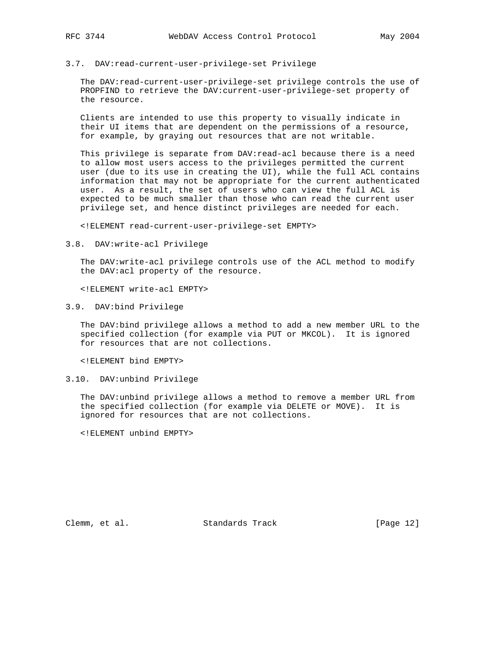# 3.7. DAV:read-current-user-privilege-set Privilege

 The DAV:read-current-user-privilege-set privilege controls the use of PROPFIND to retrieve the DAV:current-user-privilege-set property of the resource.

 Clients are intended to use this property to visually indicate in their UI items that are dependent on the permissions of a resource, for example, by graying out resources that are not writable.

 This privilege is separate from DAV:read-acl because there is a need to allow most users access to the privileges permitted the current user (due to its use in creating the UI), while the full ACL contains information that may not be appropriate for the current authenticated user. As a result, the set of users who can view the full ACL is expected to be much smaller than those who can read the current user privilege set, and hence distinct privileges are needed for each.

<!ELEMENT read-current-user-privilege-set EMPTY>

3.8. DAV:write-acl Privilege

 The DAV:write-acl privilege controls use of the ACL method to modify the DAV:acl property of the resource.

<!ELEMENT write-acl EMPTY>

3.9. DAV:bind Privilege

 The DAV:bind privilege allows a method to add a new member URL to the specified collection (for example via PUT or MKCOL). It is ignored for resources that are not collections.

<!ELEMENT bind EMPTY>

3.10. DAV:unbind Privilege

 The DAV:unbind privilege allows a method to remove a member URL from the specified collection (for example via DELETE or MOVE). It is ignored for resources that are not collections.

<!ELEMENT unbind EMPTY>

Clemm, et al. Standards Track [Page 12]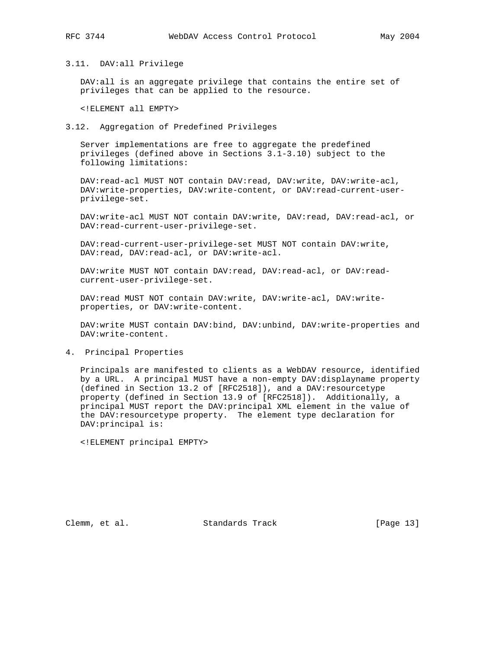# 3.11. DAV:all Privilege

 DAV:all is an aggregate privilege that contains the entire set of privileges that can be applied to the resource.

<!ELEMENT all EMPTY>

## 3.12. Aggregation of Predefined Privileges

 Server implementations are free to aggregate the predefined privileges (defined above in Sections 3.1-3.10) subject to the following limitations:

DAV:read-acl MUST NOT contain DAV:read, DAV:write, DAV:write-acl, DAV:write-properties, DAV:write-content, or DAV:read-current-user privilege-set.

DAV:write-acl MUST NOT contain DAV:write, DAV:read, DAV:read-acl, or DAV:read-current-user-privilege-set.

 DAV:read-current-user-privilege-set MUST NOT contain DAV:write, DAV:read, DAV:read-acl, or DAV:write-acl.

DAV:write MUST NOT contain DAV:read, DAV:read-acl, or DAV:readcurrent-user-privilege-set.

DAV:read MUST NOT contain DAV:write, DAV:write-acl, DAV:writeproperties, or DAV:write-content.

 DAV:write MUST contain DAV:bind, DAV:unbind, DAV:write-properties and DAV:write-content.

#### 4. Principal Properties

 Principals are manifested to clients as a WebDAV resource, identified by a URL. A principal MUST have a non-empty DAV:displayname property (defined in Section 13.2 of [RFC2518]), and a DAV:resourcetype property (defined in Section 13.9 of [RFC2518]). Additionally, a principal MUST report the DAV:principal XML element in the value of the DAV:resourcetype property. The element type declaration for DAV:principal is:

<!ELEMENT principal EMPTY>

Clemm, et al. Standards Track [Page 13]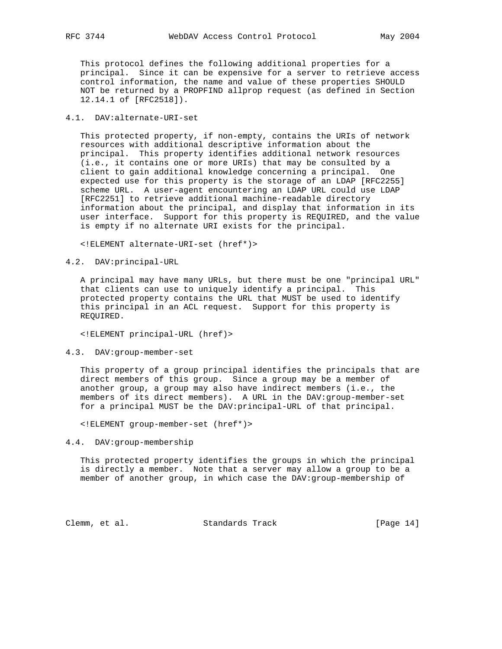This protocol defines the following additional properties for a principal. Since it can be expensive for a server to retrieve access control information, the name and value of these properties SHOULD NOT be returned by a PROPFIND allprop request (as defined in Section 12.14.1 of [RFC2518]).

# 4.1. DAV:alternate-URI-set

 This protected property, if non-empty, contains the URIs of network resources with additional descriptive information about the principal. This property identifies additional network resources (i.e., it contains one or more URIs) that may be consulted by a client to gain additional knowledge concerning a principal. One expected use for this property is the storage of an LDAP [RFC2255] scheme URL. A user-agent encountering an LDAP URL could use LDAP [RFC2251] to retrieve additional machine-readable directory information about the principal, and display that information in its user interface. Support for this property is REQUIRED, and the value is empty if no alternate URI exists for the principal.

<!ELEMENT alternate-URI-set (href\*)>

## 4.2. DAV:principal-URL

 A principal may have many URLs, but there must be one "principal URL" that clients can use to uniquely identify a principal. This protected property contains the URL that MUST be used to identify this principal in an ACL request. Support for this property is REQUIRED.

<!ELEMENT principal-URL (href)>

#### 4.3. DAV:group-member-set

 This property of a group principal identifies the principals that are direct members of this group. Since a group may be a member of another group, a group may also have indirect members (i.e., the members of its direct members). A URL in the DAV:group-member-set for a principal MUST be the DAV:principal-URL of that principal.

<!ELEMENT group-member-set (href\*)>

4.4. DAV:group-membership

 This protected property identifies the groups in which the principal is directly a member. Note that a server may allow a group to be a member of another group, in which case the DAV:group-membership of

Clemm, et al. Standards Track [Page 14]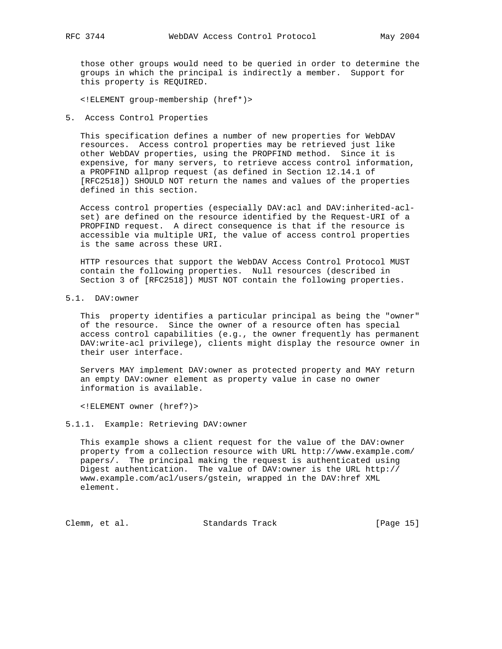those other groups would need to be queried in order to determine the groups in which the principal is indirectly a member. Support for this property is REQUIRED.

<!ELEMENT group-membership (href\*)>

5. Access Control Properties

 This specification defines a number of new properties for WebDAV resources. Access control properties may be retrieved just like other WebDAV properties, using the PROPFIND method. Since it is expensive, for many servers, to retrieve access control information, a PROPFIND allprop request (as defined in Section 12.14.1 of [RFC2518]) SHOULD NOT return the names and values of the properties defined in this section.

 Access control properties (especially DAV:acl and DAV:inherited-acl set) are defined on the resource identified by the Request-URI of a PROPFIND request. A direct consequence is that if the resource is accessible via multiple URI, the value of access control properties is the same across these URI.

 HTTP resources that support the WebDAV Access Control Protocol MUST contain the following properties. Null resources (described in Section 3 of [RFC2518]) MUST NOT contain the following properties.

5.1. DAV:owner

 This property identifies a particular principal as being the "owner" of the resource. Since the owner of a resource often has special access control capabilities (e.g., the owner frequently has permanent DAV:write-acl privilege), clients might display the resource owner in their user interface.

 Servers MAY implement DAV:owner as protected property and MAY return an empty DAV:owner element as property value in case no owner information is available.

<!ELEMENT owner (href?)>

5.1.1. Example: Retrieving DAV:owner

 This example shows a client request for the value of the DAV:owner property from a collection resource with URL http://www.example.com/ papers/. The principal making the request is authenticated using Digest authentication. The value of DAV:owner is the URL http:// www.example.com/acl/users/gstein, wrapped in the DAV:href XML element.

Clemm, et al. Standards Track [Page 15]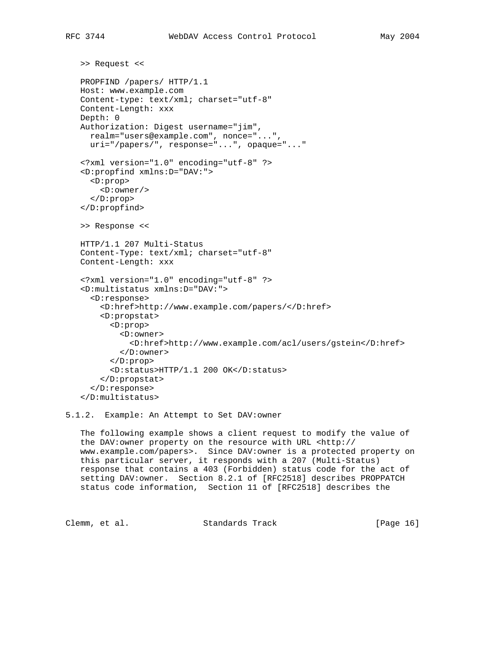>> Request <<

```
 PROPFIND /papers/ HTTP/1.1
Host: www.example.com
Content-type: text/xml; charset="utf-8"
Content-Length: xxx
Depth: 0
Authorization: Digest username="jim",
  realm="users@example.com", nonce="...",
  uri="/papers/", response="...", opaque="..."
<?xml version="1.0" encoding="utf-8" ?>
<D:propfind xmlns:D="DAV:">
  <D:prop>
    <D:owner/>
  </D:prop>
</D:propfind>
>> Response <<
HTTP/1.1 207 Multi-Status
Content-Type: text/xml; charset="utf-8"
Content-Length: xxx
<?xml version="1.0" encoding="utf-8" ?>
<D:multistatus xmlns:D="DAV:">
  <D:response>
    <D:href>http://www.example.com/papers/</D:href>
    <D:propstat>
      <D:prop>
        <D:owner>
          <D:href>http://www.example.com/acl/users/gstein</D:href>
        </D:owner>
      </D:prop>
      <D:status>HTTP/1.1 200 OK</D:status>
    </D:propstat>
  </D:response>
</D:multistatus>
```
5.1.2. Example: An Attempt to Set DAV:owner

 The following example shows a client request to modify the value of the DAV:owner property on the resource with URL <http:// www.example.com/papers>. Since DAV:owner is a protected property on this particular server, it responds with a 207 (Multi-Status) response that contains a 403 (Forbidden) status code for the act of setting DAV:owner. Section 8.2.1 of [RFC2518] describes PROPPATCH status code information, Section 11 of [RFC2518] describes the

Clemm, et al. Standards Track [Page 16]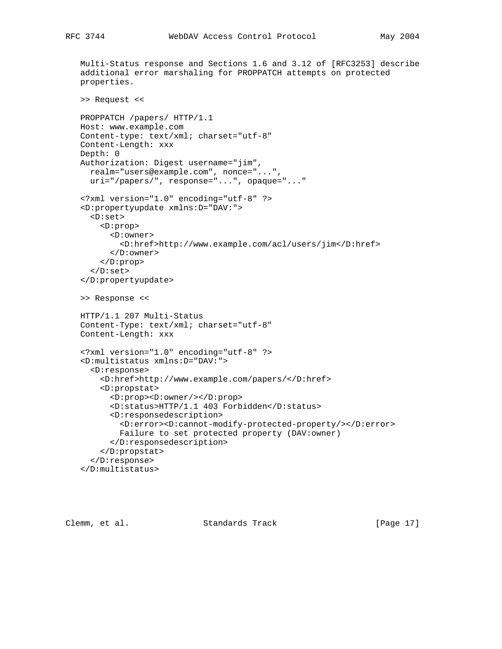Multi-Status response and Sections 1.6 and 3.12 of [RFC3253] describe additional error marshaling for PROPPATCH attempts on protected properties. >> Request << PROPPATCH /papers/ HTTP/1.1 Host: www.example.com Content-type: text/xml; charset="utf-8" Content-Length: xxx Depth: 0 Authorization: Digest username="jim", realm="users@example.com", nonce="...", uri="/papers/", response="...", opaque="..." <?xml version="1.0" encoding="utf-8" ?> <D:propertyupdate xmlns:D="DAV:"> <D:set> <D:prop> <D:owner> <D:href>http://www.example.com/acl/users/jim</D:href> </D:owner> </D:prop> </D:set> </D:propertyupdate> >> Response << HTTP/1.1 207 Multi-Status Content-Type: text/xml; charset="utf-8" Content-Length: xxx <?xml version="1.0" encoding="utf-8" ?> <D:multistatus xmlns:D="DAV:"> <D:response> <D:href>http://www.example.com/papers/</D:href> <D:propstat> <D:prop><D:owner/></D:prop> <D:status>HTTP/1.1 403 Forbidden</D:status> <D:responsedescription> <D:error><D:cannot-modify-protected-property/></D:error> Failure to set protected property (DAV:owner) </D:responsedescription> </D:propstat> </D:response> </D:multistatus>

Clemm, et al. Standards Track [Page 17]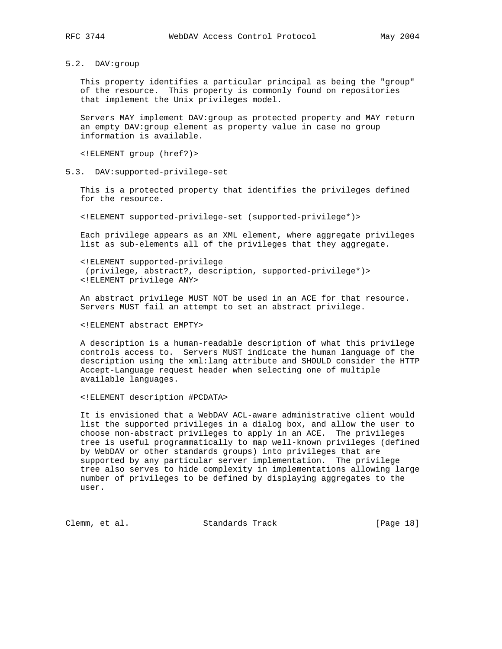# 5.2. DAV:group

 This property identifies a particular principal as being the "group" of the resource. This property is commonly found on repositories that implement the Unix privileges model.

 Servers MAY implement DAV:group as protected property and MAY return an empty DAV:group element as property value in case no group information is available.

<!ELEMENT group (href?)>

# 5.3. DAV:supported-privilege-set

 This is a protected property that identifies the privileges defined for the resource.

<!ELEMENT supported-privilege-set (supported-privilege\*)>

 Each privilege appears as an XML element, where aggregate privileges list as sub-elements all of the privileges that they aggregate.

 <!ELEMENT supported-privilege (privilege, abstract?, description, supported-privilege\*)> <!ELEMENT privilege ANY>

 An abstract privilege MUST NOT be used in an ACE for that resource. Servers MUST fail an attempt to set an abstract privilege.

<!ELEMENT abstract EMPTY>

 A description is a human-readable description of what this privilege controls access to. Servers MUST indicate the human language of the description using the xml:lang attribute and SHOULD consider the HTTP Accept-Language request header when selecting one of multiple available languages.

<!ELEMENT description #PCDATA>

 It is envisioned that a WebDAV ACL-aware administrative client would list the supported privileges in a dialog box, and allow the user to choose non-abstract privileges to apply in an ACE. The privileges tree is useful programmatically to map well-known privileges (defined by WebDAV or other standards groups) into privileges that are supported by any particular server implementation. The privilege tree also serves to hide complexity in implementations allowing large number of privileges to be defined by displaying aggregates to the user.

Clemm, et al. Standards Track [Page 18]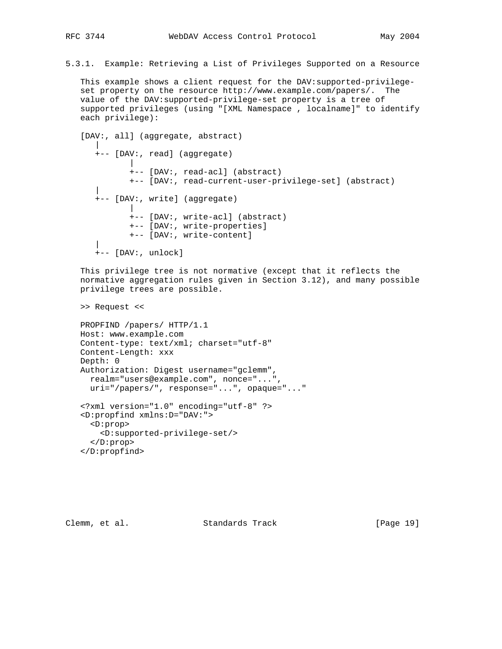5.3.1. Example: Retrieving a List of Privileges Supported on a Resource

 This example shows a client request for the DAV:supported-privilege set property on the resource http://www.example.com/papers/. The value of the DAV:supported-privilege-set property is a tree of supported privileges (using "[XML Namespace , localname]" to identify each privilege):

```
 [DAV:, all] (aggregate, abstract)
|
     +-- [DAV:, read] (aggregate)
|
           +-- [DAV:, read-acl] (abstract)
           +-- [DAV:, read-current-user-privilege-set] (abstract)
|
     +-- [DAV:, write] (aggregate)
|
           +-- [DAV:, write-acl] (abstract)
           +-- [DAV:, write-properties]
           +-- [DAV:, write-content]
|
     +-- [DAV:, unlock]
```
 This privilege tree is not normative (except that it reflects the normative aggregation rules given in Section 3.12), and many possible privilege trees are possible.

>> Request <<

```
 PROPFIND /papers/ HTTP/1.1
Host: www.example.com
Content-type: text/xml; charset="utf-8"
Content-Length: xxx
Depth: 0
Authorization: Digest username="gclemm",
  realm="users@example.com", nonce="...",
  uri="/papers/", response="...", opaque="..."
<?xml version="1.0" encoding="utf-8" ?>
<D:propfind xmlns:D="DAV:">
 <D:prop>
    <D:supported-privilege-set/>
  </D:prop>
```
</D:propfind>

Clemm, et al. Standards Track [Page 19]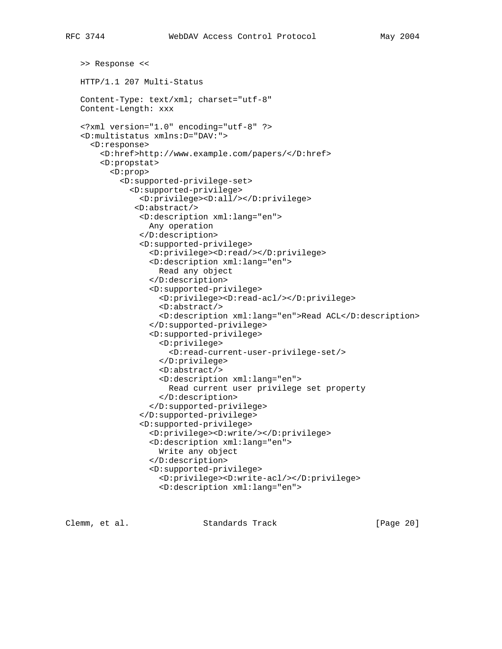```
 >> Response <<
```
HTTP/1.1 207 Multi-Status

```
 Content-Type: text/xml; charset="utf-8"
Content-Length: xxx
```

```
 <?xml version="1.0" encoding="utf-8" ?>
<D:multistatus xmlns:D="DAV:">
  <D:response>
    <D:href>http://www.example.com/papers/</D:href>
    <D:propstat>
      <D:prop>
        <D:supported-privilege-set>
          <D:supported-privilege>
            <D:privilege><D:all/></D:privilege>
           <D:abstract/>
            <D:description xml:lang="en">
              Any operation
            </D:description>
            <D:supported-privilege>
              <D:privilege><D:read/></D:privilege>
              <D:description xml:lang="en">
                Read any object
              </D:description>
              <D:supported-privilege>
                 <D:privilege><D:read-acl/></D:privilege>
                 <D:abstract/>
                 <D:description xml:lang="en">Read ACL</D:description>
              </D:supported-privilege>
              <D:supported-privilege>
                 <D:privilege>
                   <D:read-current-user-privilege-set/>
                 </D:privilege>
                 <D:abstract/>
                 <D:description xml:lang="en">
                   Read current user privilege set property
                 </D:description>
              </D:supported-privilege>
            </D:supported-privilege>
            <D:supported-privilege>
              <D:privilege><D:write/></D:privilege>
              <D:description xml:lang="en">
                Write any object
              </D:description>
              <D:supported-privilege>
                 <D:privilege><D:write-acl/></D:privilege>
                 <D:description xml:lang="en">
```
Clemm, et al. Standards Track [Page 20]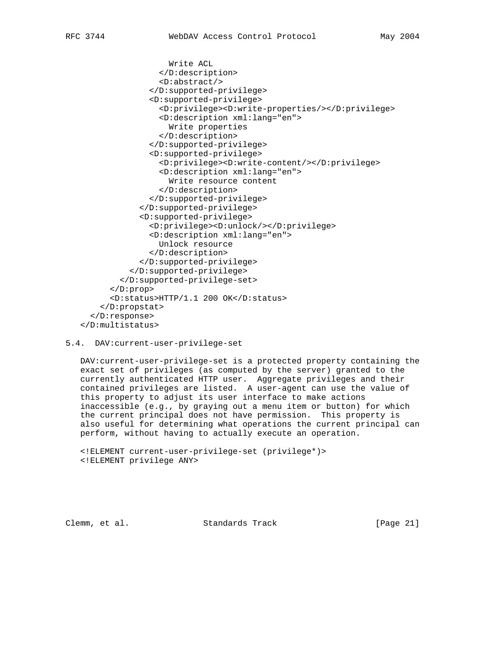```
 Write ACL
                 </D:description>
                 <D:abstract/>
               </D:supported-privilege>
               <D:supported-privilege>
                 <D:privilege><D:write-properties/></D:privilege>
                 <D:description xml:lang="en">
                   Write properties
                 </D:description>
               </D:supported-privilege>
               <D:supported-privilege>
                 <D:privilege><D:write-content/></D:privilege>
                 <D:description xml:lang="en">
                   Write resource content
                 </D:description>
               </D:supported-privilege>
            </D:supported-privilege>
            <D:supported-privilege>
               <D:privilege><D:unlock/></D:privilege>
               <D:description xml:lang="en">
                Unlock resource
               </D:description>
            </D:supported-privilege>
          </D:supported-privilege>
        </D:supported-privilege-set>
      </D:prop>
      <D:status>HTTP/1.1 200 OK</D:status>
    </D:propstat>
  </D:response>
</D:multistatus>
```
5.4. DAV:current-user-privilege-set

 DAV:current-user-privilege-set is a protected property containing the exact set of privileges (as computed by the server) granted to the currently authenticated HTTP user. Aggregate privileges and their contained privileges are listed. A user-agent can use the value of this property to adjust its user interface to make actions inaccessible (e.g., by graying out a menu item or button) for which the current principal does not have permission. This property is also useful for determining what operations the current principal can perform, without having to actually execute an operation.

```
 <!ELEMENT current-user-privilege-set (privilege*)>
<!ELEMENT privilege ANY>
```
Clemm, et al. Standards Track [Page 21]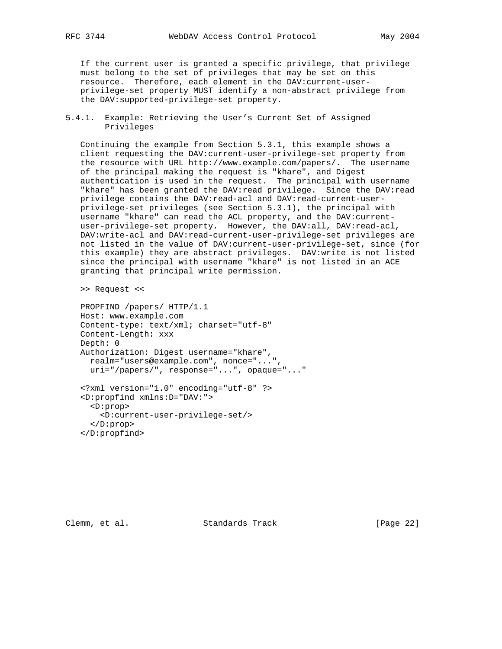If the current user is granted a specific privilege, that privilege must belong to the set of privileges that may be set on this resource. Therefore, each element in the DAV:current-user privilege-set property MUST identify a non-abstract privilege from the DAV:supported-privilege-set property.

5.4.1. Example: Retrieving the User's Current Set of Assigned Privileges

 Continuing the example from Section 5.3.1, this example shows a client requesting the DAV:current-user-privilege-set property from the resource with URL http://www.example.com/papers/. The username of the principal making the request is "khare", and Digest authentication is used in the request. The principal with username "khare" has been granted the DAV:read privilege. Since the DAV:read privilege contains the DAV:read-acl and DAV:read-current-user privilege-set privileges (see Section 5.3.1), the principal with username "khare" can read the ACL property, and the DAV:current user-privilege-set property. However, the DAV:all, DAV:read-acl, DAV:write-acl and DAV:read-current-user-privilege-set privileges are not listed in the value of DAV:current-user-privilege-set, since (for this example) they are abstract privileges. DAV:write is not listed since the principal with username "khare" is not listed in an ACE granting that principal write permission.

>> Request <<

 PROPFIND /papers/ HTTP/1.1 Host: www.example.com Content-type: text/xml; charset="utf-8" Content-Length: xxx Depth: 0 Authorization: Digest username="khare", realm="users@example.com", nonce="...", uri="/papers/", response="...", opaque="..." <?xml version="1.0" encoding="utf-8" ?>

 <D:propfind xmlns:D="DAV:"> <D:prop> <D:current-user-privilege-set/> </D:prop> </D:propfind>

Clemm, et al. Standards Track [Page 22]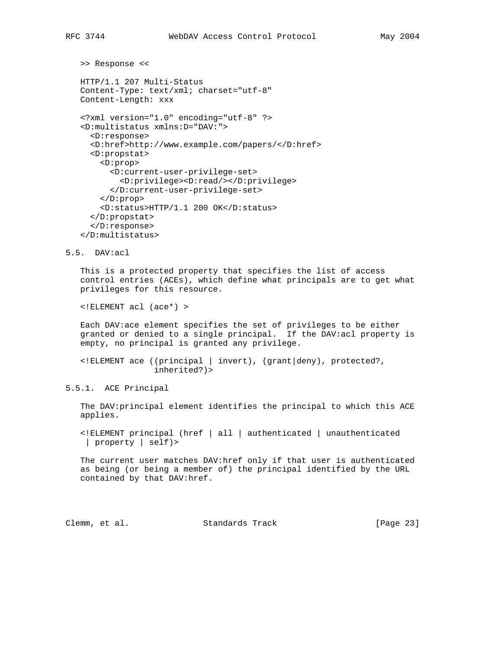```
 >> Response <<
```
 HTTP/1.1 207 Multi-Status Content-Type: text/xml; charset="utf-8" Content-Length: xxx

```
 <?xml version="1.0" encoding="utf-8" ?>
<D:multistatus xmlns:D="DAV:">
 <D:response>
 <D:href>http://www.example.com/papers/</D:href>
 <D:propstat>
    <D:prop>
      <D:current-user-privilege-set>
        <D:privilege><D:read/></D:privilege>
      </D:current-user-privilege-set>
    </D:prop>
    <D:status>HTTP/1.1 200 OK</D:status>
  </D:propstat>
  </D:response>
</D:multistatus>
```
5.5. DAV:acl

 This is a protected property that specifies the list of access control entries (ACEs), which define what principals are to get what privileges for this resource.

<!ELEMENT acl (ace\*) >

 Each DAV:ace element specifies the set of privileges to be either granted or denied to a single principal. If the DAV:acl property is empty, no principal is granted any privilege.

 <!ELEMENT ace ((principal | invert), (grant|deny), protected?, inherited?)>

5.5.1. ACE Principal

 The DAV:principal element identifies the principal to which this ACE applies.

 <!ELEMENT principal (href | all | authenticated | unauthenticated | property | self)>

 The current user matches DAV:href only if that user is authenticated as being (or being a member of) the principal identified by the URL contained by that DAV:href.

Clemm, et al. Standards Track [Page 23]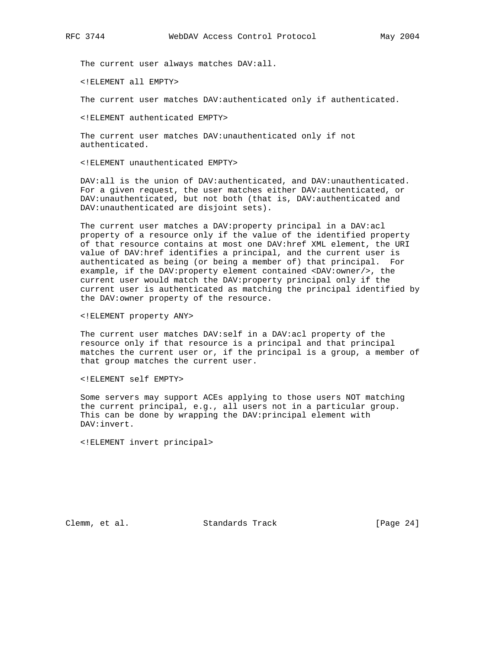The current user always matches DAV:all.

<!ELEMENT all EMPTY>

The current user matches DAV:authenticated only if authenticated.

<!ELEMENT authenticated EMPTY>

 The current user matches DAV:unauthenticated only if not authenticated.

<!ELEMENT unauthenticated EMPTY>

 DAV:all is the union of DAV:authenticated, and DAV:unauthenticated. For a given request, the user matches either DAV:authenticated, or DAV:unauthenticated, but not both (that is, DAV:authenticated and DAV:unauthenticated are disjoint sets).

 The current user matches a DAV:property principal in a DAV:acl property of a resource only if the value of the identified property of that resource contains at most one DAV:href XML element, the URI value of DAV:href identifies a principal, and the current user is authenticated as being (or being a member of) that principal. For example, if the DAV:property element contained <DAV:owner/>, the current user would match the DAV:property principal only if the current user is authenticated as matching the principal identified by the DAV:owner property of the resource.

<!ELEMENT property ANY>

 The current user matches DAV:self in a DAV:acl property of the resource only if that resource is a principal and that principal matches the current user or, if the principal is a group, a member of that group matches the current user.

<!ELEMENT self EMPTY>

 Some servers may support ACEs applying to those users NOT matching the current principal, e.g., all users not in a particular group. This can be done by wrapping the DAV:principal element with DAV:invert.

<!ELEMENT invert principal>

Clemm, et al. Standards Track [Page 24]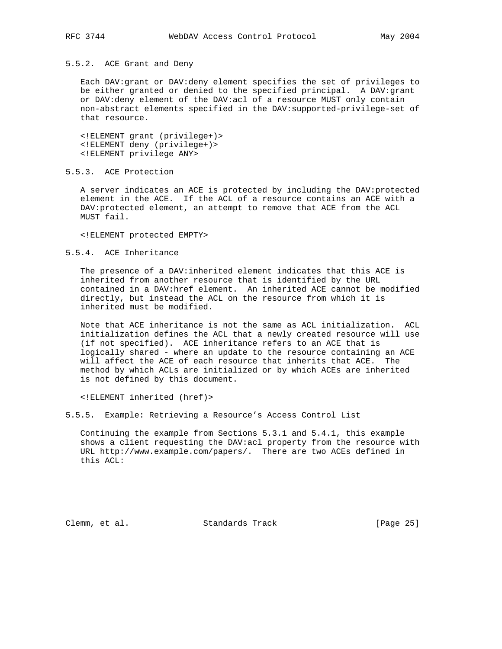# 5.5.2. ACE Grant and Deny

 Each DAV:grant or DAV:deny element specifies the set of privileges to be either granted or denied to the specified principal. A DAV:grant or DAV:deny element of the DAV:acl of a resource MUST only contain non-abstract elements specified in the DAV:supported-privilege-set of that resource.

 <!ELEMENT grant (privilege+)> <!ELEMENT deny (privilege+)> <!ELEMENT privilege ANY>

5.5.3. ACE Protection

 A server indicates an ACE is protected by including the DAV:protected element in the ACE. If the ACL of a resource contains an ACE with a DAV:protected element, an attempt to remove that ACE from the ACL MUST fail.

<!ELEMENT protected EMPTY>

## 5.5.4. ACE Inheritance

 The presence of a DAV:inherited element indicates that this ACE is inherited from another resource that is identified by the URL contained in a DAV:href element. An inherited ACE cannot be modified directly, but instead the ACL on the resource from which it is inherited must be modified.

 Note that ACE inheritance is not the same as ACL initialization. ACL initialization defines the ACL that a newly created resource will use (if not specified). ACE inheritance refers to an ACE that is logically shared - where an update to the resource containing an ACE will affect the ACE of each resource that inherits that ACE. The method by which ACLs are initialized or by which ACEs are inherited is not defined by this document.

<!ELEMENT inherited (href)>

5.5.5. Example: Retrieving a Resource's Access Control List

 Continuing the example from Sections 5.3.1 and 5.4.1, this example shows a client requesting the DAV:acl property from the resource with URL http://www.example.com/papers/. There are two ACEs defined in this ACL:

Clemm, et al. Standards Track [Page 25]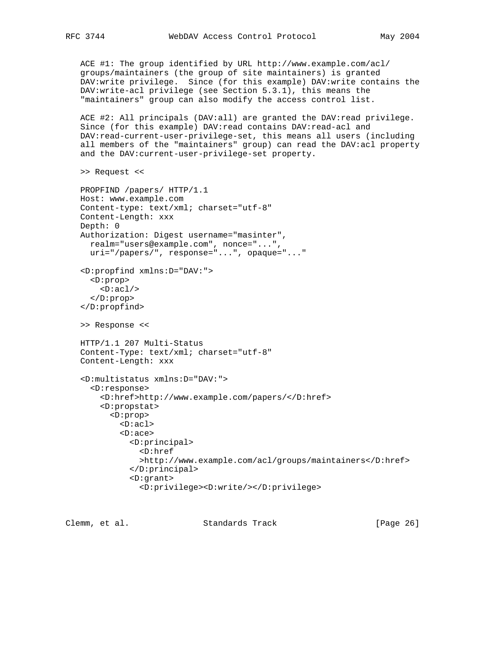ACE #1: The group identified by URL http://www.example.com/acl/ groups/maintainers (the group of site maintainers) is granted DAV:write privilege. Since (for this example) DAV:write contains the DAV:write-acl privilege (see Section 5.3.1), this means the "maintainers" group can also modify the access control list.

 ACE #2: All principals (DAV:all) are granted the DAV:read privilege. Since (for this example) DAV: read contains DAV: read-acl and DAV:read-current-user-privilege-set, this means all users (including all members of the "maintainers" group) can read the DAV:acl property and the DAV:current-user-privilege-set property.

```
 >> Request <<
```

```
 PROPFIND /papers/ HTTP/1.1
Host: www.example.com
Content-type: text/xml; charset="utf-8"
Content-Length: xxx
Depth: 0
Authorization: Digest username="masinter",
  realm="users@example.com", nonce="...",
  uri="/papers/", response="...", opaque="..."
<D:propfind xmlns:D="DAV:">
  <D:prop>
   \langle \text{D:ac} \, 1 \rangle </D:prop>
</D:propfind>
>> Response <<
HTTP/1.1 207 Multi-Status
Content-Type: text/xml; charset="utf-8"
Content-Length: xxx
<D:multistatus xmlns:D="DAV:">
  <D:response>
    <D:href>http://www.example.com/papers/</D:href>
    <D:propstat>
      <D:prop>
        <D:acl>
        <D:ace>
           <D:principal>
             <D:href
             >http://www.example.com/acl/groups/maintainers</D:href>
           </D:principal>
           <D:grant>
             <D:privilege><D:write/></D:privilege>
```
Clemm, et al. Standards Track [Page 26]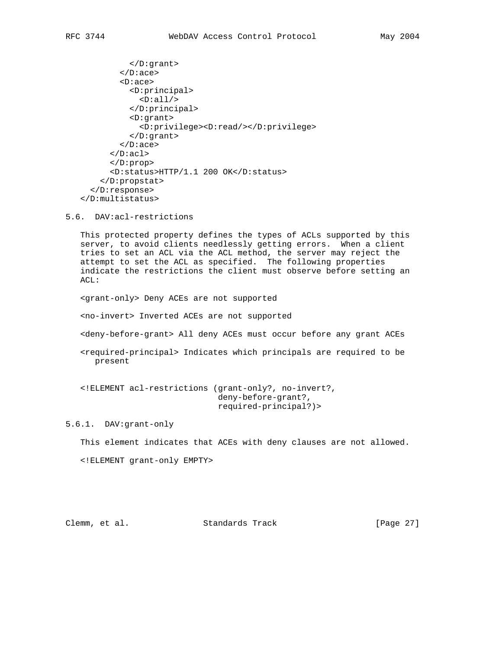```
 </D:grant>
         \langle D:ace \rangle <D:ace>
            <D:principal>
              \langle \text{D:all}\rangle </D:principal>
            <D:grant>
               <D:privilege><D:read/></D:privilege>
            </D:grant>
          </D:ace>
      \langle D:ac1 \rangle </D:prop>
       <D:status>HTTP/1.1 200 OK</D:status>
     </D:propstat>
  </D:response>
</D:multistatus>
```
5.6. DAV:acl-restrictions

 This protected property defines the types of ACLs supported by this server, to avoid clients needlessly getting errors. When a client tries to set an ACL via the ACL method, the server may reject the attempt to set the ACL as specified. The following properties indicate the restrictions the client must observe before setting an ACL:

<grant-only> Deny ACEs are not supported

<no-invert> Inverted ACEs are not supported

<deny-before-grant> All deny ACEs must occur before any grant ACEs

 <required-principal> Indicates which principals are required to be present

 <!ELEMENT acl-restrictions (grant-only?, no-invert?, deny-before-grant?, required-principal?)>

5.6.1. DAV:grant-only

This element indicates that ACEs with deny clauses are not allowed.

<!ELEMENT grant-only EMPTY>

Clemm, et al. Standards Track [Page 27]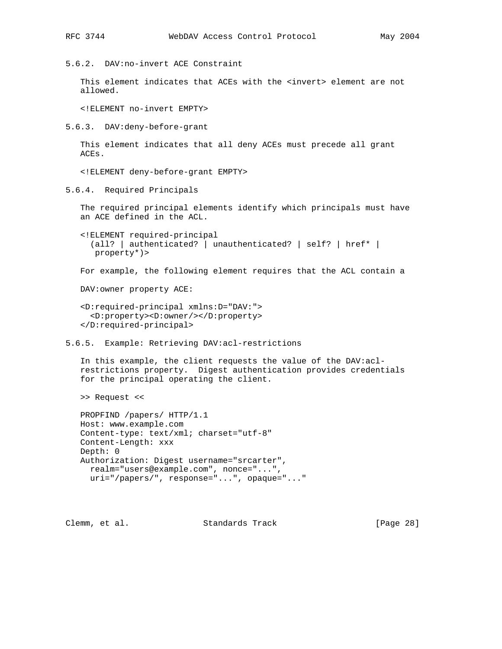5.6.2. DAV:no-invert ACE Constraint

This element indicates that ACEs with the <invert> element are not allowed.

<!ELEMENT no-invert EMPTY>

5.6.3. DAV:deny-before-grant

 This element indicates that all deny ACEs must precede all grant ACEs.

<!ELEMENT deny-before-grant EMPTY>

5.6.4. Required Principals

 The required principal elements identify which principals must have an ACE defined in the ACL.

```
 <!ELEMENT required-principal
 (all? | authenticated? | unauthenticated? | self? | href* |
  property*)>
```
For example, the following element requires that the ACL contain a

DAV:owner property ACE:

```
 <D:required-principal xmlns:D="DAV:">
  <D:property><D:owner/></D:property>
</D:required-principal>
```
5.6.5. Example: Retrieving DAV:acl-restrictions

 In this example, the client requests the value of the DAV:acl restrictions property. Digest authentication provides credentials for the principal operating the client.

>> Request <<

```
 PROPFIND /papers/ HTTP/1.1
Host: www.example.com
Content-type: text/xml; charset="utf-8"
Content-Length: xxx
Depth: 0
Authorization: Digest username="srcarter",
 realm="users@example.com", nonce="...",
 uri="/papers/", response="...", opaque="..."
```
Clemm, et al. Standards Track [Page 28]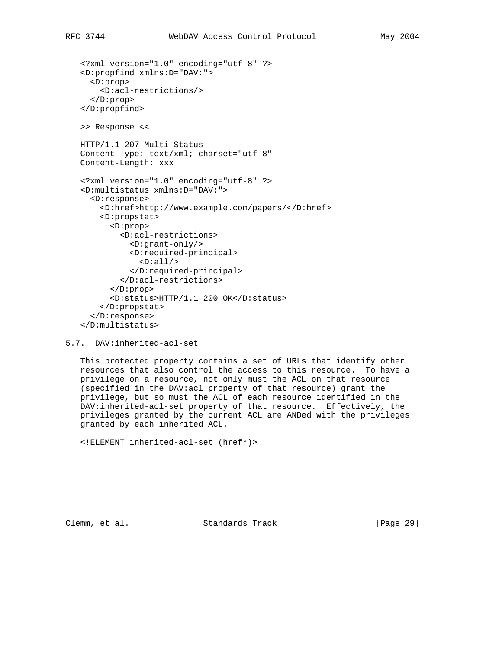```
 <?xml version="1.0" encoding="utf-8" ?>
<D:propfind xmlns:D="DAV:">
  <D:prop>
    <D:acl-restrictions/>
  </D:prop>
</D:propfind>
>> Response <<
HTTP/1.1 207 Multi-Status
Content-Type: text/xml; charset="utf-8"
Content-Length: xxx
<?xml version="1.0" encoding="utf-8" ?>
<D:multistatus xmlns:D="DAV:">
  <D:response>
    <D:href>http://www.example.com/papers/</D:href>
    <D:propstat>
      <D:prop>
        <D:acl-restrictions>
           <D:grant-only/>
           <D:required-principal>
            \langleD:all/\rangle </D:required-principal>
        </D:acl-restrictions>
      </D:prop>
      <D:status>HTTP/1.1 200 OK</D:status>
    </D:propstat>
  </D:response>
</D:multistatus>
```

```
5.7. DAV:inherited-acl-set
```
 This protected property contains a set of URLs that identify other resources that also control the access to this resource. To have a privilege on a resource, not only must the ACL on that resource (specified in the DAV:acl property of that resource) grant the privilege, but so must the ACL of each resource identified in the DAV:inherited-acl-set property of that resource. Effectively, the privileges granted by the current ACL are ANDed with the privileges granted by each inherited ACL.

```
 <!ELEMENT inherited-acl-set (href*)>
```
Clemm, et al. Standards Track [Page 29]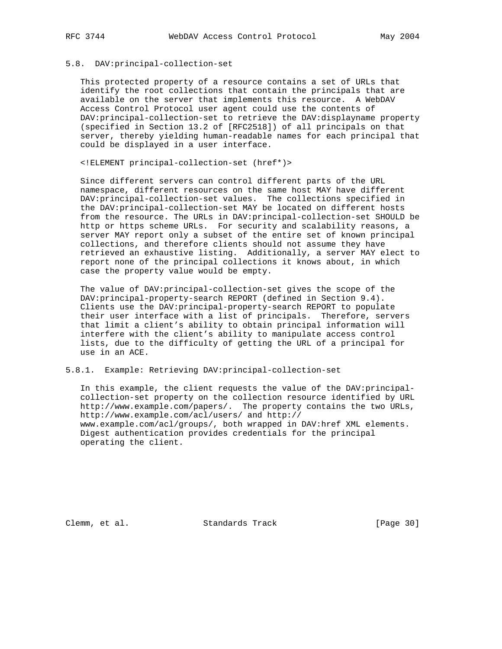# 5.8. DAV:principal-collection-set

 This protected property of a resource contains a set of URLs that identify the root collections that contain the principals that are available on the server that implements this resource. A WebDAV Access Control Protocol user agent could use the contents of DAV:principal-collection-set to retrieve the DAV:displayname property (specified in Section 13.2 of [RFC2518]) of all principals on that server, thereby yielding human-readable names for each principal that could be displayed in a user interface.

<!ELEMENT principal-collection-set (href\*)>

 Since different servers can control different parts of the URL namespace, different resources on the same host MAY have different DAV:principal-collection-set values. The collections specified in the DAV:principal-collection-set MAY be located on different hosts from the resource. The URLs in DAV:principal-collection-set SHOULD be http or https scheme URLs. For security and scalability reasons, a server MAY report only a subset of the entire set of known principal collections, and therefore clients should not assume they have retrieved an exhaustive listing. Additionally, a server MAY elect to report none of the principal collections it knows about, in which case the property value would be empty.

 The value of DAV:principal-collection-set gives the scope of the DAV:principal-property-search REPORT (defined in Section 9.4). Clients use the DAV:principal-property-search REPORT to populate their user interface with a list of principals. Therefore, servers that limit a client's ability to obtain principal information will interfere with the client's ability to manipulate access control lists, due to the difficulty of getting the URL of a principal for use in an ACE.

5.8.1. Example: Retrieving DAV:principal-collection-set

 In this example, the client requests the value of the DAV:principal collection-set property on the collection resource identified by URL http://www.example.com/papers/. The property contains the two URLs, http://www.example.com/acl/users/ and http:// www.example.com/acl/groups/, both wrapped in DAV:href XML elements. Digest authentication provides credentials for the principal operating the client.

Clemm, et al. Standards Track [Page 30]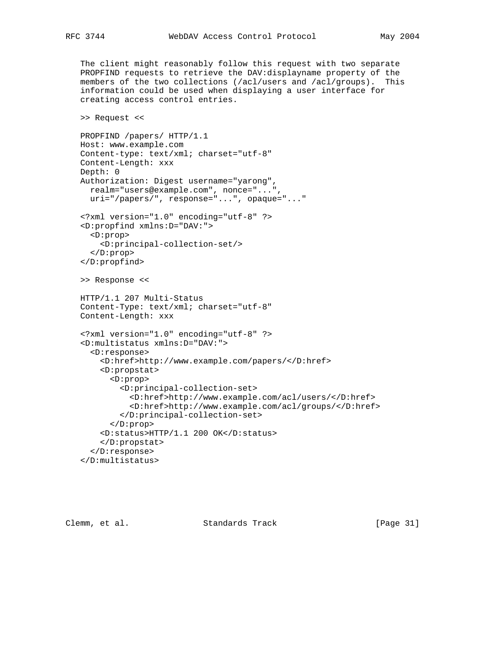The client might reasonably follow this request with two separate PROPFIND requests to retrieve the DAV:displayname property of the members of the two collections (/acl/users and /acl/groups). This information could be used when displaying a user interface for creating access control entries.

```
 >> Request <<
```

```
 PROPFIND /papers/ HTTP/1.1
Host: www.example.com
Content-type: text/xml; charset="utf-8"
Content-Length: xxx
Depth: 0
Authorization: Digest username="yarong",
  realm="users@example.com", nonce="...",
  uri="/papers/", response="...", opaque="..."
<?xml version="1.0" encoding="utf-8" ?>
<D:propfind xmlns:D="DAV:">
  <D:prop>
    <D:principal-collection-set/>
  </D:prop>
</D:propfind>
>> Response <<
HTTP/1.1 207 Multi-Status
Content-Type: text/xml; charset="utf-8"
Content-Length: xxx
<?xml version="1.0" encoding="utf-8" ?>
<D:multistatus xmlns:D="DAV:">
  <D:response>
    <D:href>http://www.example.com/papers/</D:href>
    <D:propstat>
      <D:prop>
        <D:principal-collection-set>
           <D:href>http://www.example.com/acl/users/</D:href>
           <D:href>http://www.example.com/acl/groups/</D:href>
        </D:principal-collection-set>
      </D:prop>
    <D:status>HTTP/1.1 200 OK</D:status>
    </D:propstat>
  </D:response>
</D:multistatus>
```
Clemm, et al. Standards Track [Page 31]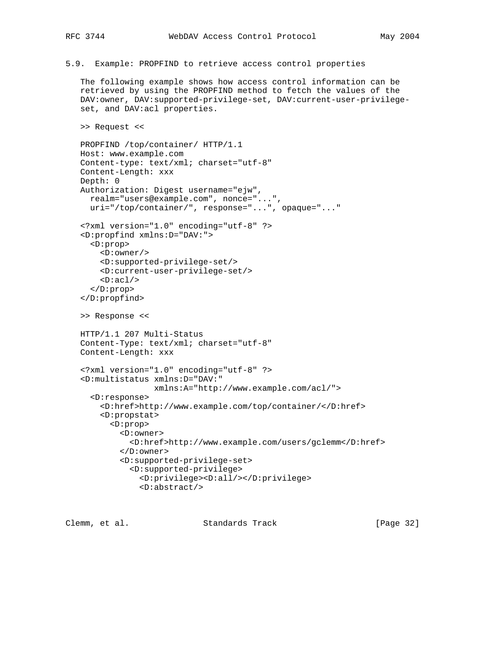5.9. Example: PROPFIND to retrieve access control properties

 The following example shows how access control information can be retrieved by using the PROPFIND method to fetch the values of the DAV:owner, DAV:supported-privilege-set, DAV:current-user-privilege set, and DAV:acl properties.

```
 >> Request <<
```

```
 PROPFIND /top/container/ HTTP/1.1
Host: www.example.com
Content-type: text/xml; charset="utf-8"
Content-Length: xxx
Depth: 0
Authorization: Digest username="ejw",
  realm="users@example.com", nonce="...",
  uri="/top/container/", response="...", opaque="..."
<?xml version="1.0" encoding="utf-8" ?>
<D:propfind xmlns:D="DAV:">
  <D:prop>
    <D:owner/>
    <D:supported-privilege-set/>
    <D:current-user-privilege-set/>
   \langle \text{D:acl}\rangle </D:prop>
</D:propfind>
>> Response <<
HTTP/1.1 207 Multi-Status
Content-Type: text/xml; charset="utf-8"
Content-Length: xxx
<?xml version="1.0" encoding="utf-8" ?>
<D:multistatus xmlns:D="DAV:"
               xmlns:A="http://www.example.com/acl/">
  <D:response>
    <D:href>http://www.example.com/top/container/</D:href>
    <D:propstat>
      <D:prop>
        <D:owner>
          <D:href>http://www.example.com/users/gclemm</D:href>
        </D:owner>
        <D:supported-privilege-set>
          <D:supported-privilege>
             <D:privilege><D:all/></D:privilege>
             <D:abstract/>
```
Clemm, et al. Standards Track [Page 32]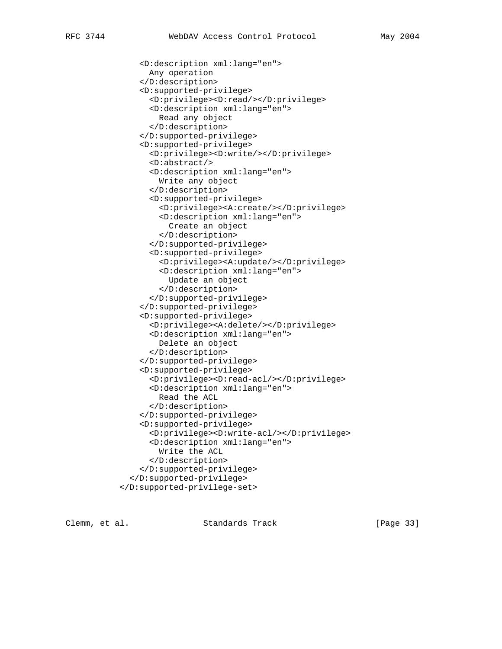```
 <D:description xml:lang="en">
      Any operation
    </D:description>
    <D:supported-privilege>
      <D:privilege><D:read/></D:privilege>
      <D:description xml:lang="en">
        Read any object
      </D:description>
    </D:supported-privilege>
    <D:supported-privilege>
      <D:privilege><D:write/></D:privilege>
      <D:abstract/>
      <D:description xml:lang="en">
        Write any object
      </D:description>
      <D:supported-privilege>
        <D:privilege><A:create/></D:privilege>
        <D:description xml:lang="en">
          Create an object
        </D:description>
      </D:supported-privilege>
      <D:supported-privilege>
        <D:privilege><A:update/></D:privilege>
        <D:description xml:lang="en">
          Update an object
        </D:description>
      </D:supported-privilege>
    </D:supported-privilege>
    <D:supported-privilege>
      <D:privilege><A:delete/></D:privilege>
      <D:description xml:lang="en">
        Delete an object
      </D:description>
    </D:supported-privilege>
    <D:supported-privilege>
      <D:privilege><D:read-acl/></D:privilege>
      <D:description xml:lang="en">
        Read the ACL
      </D:description>
    </D:supported-privilege>
    <D:supported-privilege>
      <D:privilege><D:write-acl/></D:privilege>
      <D:description xml:lang="en">
        Write the ACL
      </D:description>
    </D:supported-privilege>
  </D:supported-privilege>
</D:supported-privilege-set>
```
Clemm, et al. Standards Track [Page 33]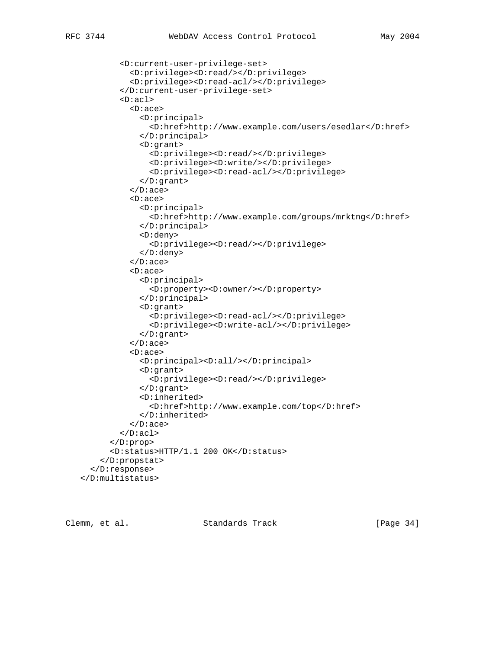```
 <D:current-user-privilege-set>
  <D:privilege><D:read/></D:privilege>
  <D:privilege><D:read-acl/></D:privilege>
</D:current-user-privilege-set>
<D:acl>
  <D:ace>
    <D:principal>
```

```
 <D:href>http://www.example.com/users/esedlar</D:href>
             </D:principal>
             <D:grant>
               <D:privilege><D:read/></D:privilege>
               <D:privilege><D:write/></D:privilege>
               <D:privilege><D:read-acl/></D:privilege>
             </D:grant>
           </D:ace>
           <D:ace>
             <D:principal>
               <D:href>http://www.example.com/groups/mrktng</D:href>
             </D:principal>
             <D:deny>
               <D:privilege><D:read/></D:privilege>
             </D:deny>
          \langle D:ace \rangle <D:ace>
             <D:principal>
               <D:property><D:owner/></D:property>
             </D:principal>
             <D:grant>
               <D:privilege><D:read-acl/></D:privilege>
               <D:privilege><D:write-acl/></D:privilege>
             </D:grant>
          \langle D:ace \rangle <D:ace>
             <D:principal><D:all/></D:principal>
             <D:grant>
               <D:privilege><D:read/></D:privilege>
             </D:grant>
             <D:inherited>
               <D:href>http://www.example.com/top</D:href>
             </D:inherited>
          \langle D:ace \rangle\langleD:acl>
      </D:prop>
      <D:status>HTTP/1.1 200 OK</D:status>
    </D:propstat>
  </D:response>
</D:multistatus>
```
Clemm, et al. Standards Track [Page 34]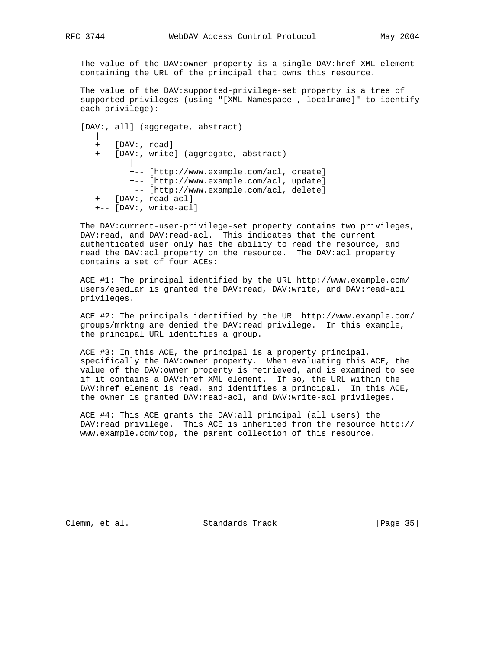The value of the DAV:owner property is a single DAV:href XML element containing the URL of the principal that owns this resource.

 The value of the DAV:supported-privilege-set property is a tree of supported privileges (using "[XML Namespace , localname]" to identify each privilege):

```
 [DAV:, all] (aggregate, abstract)
|
     +-- [DAV:, read]
     +-- [DAV:, write] (aggregate, abstract)
|
            +-- [http://www.example.com/acl, create]
            +-- [http://www.example.com/acl, update]
            +-- [http://www.example.com/acl, delete]
     +-- [DAV:, read-acl]
     +-- [DAV:, write-acl]
```
 The DAV:current-user-privilege-set property contains two privileges, DAV:read, and DAV:read-acl. This indicates that the current authenticated user only has the ability to read the resource, and read the DAV:acl property on the resource. The DAV:acl property contains a set of four ACEs:

 ACE #1: The principal identified by the URL http://www.example.com/ users/esedlar is granted the DAV:read, DAV:write, and DAV:read-acl privileges.

 ACE #2: The principals identified by the URL http://www.example.com/ groups/mrktng are denied the DAV:read privilege. In this example, the principal URL identifies a group.

 ACE #3: In this ACE, the principal is a property principal, specifically the DAV:owner property. When evaluating this ACE, the value of the DAV:owner property is retrieved, and is examined to see if it contains a DAV:href XML element. If so, the URL within the DAV:href element is read, and identifies a principal. In this ACE, the owner is granted DAV: read-acl, and DAV: write-acl privileges.

 ACE #4: This ACE grants the DAV:all principal (all users) the DAV:read privilege. This ACE is inherited from the resource http:// www.example.com/top, the parent collection of this resource.

Clemm, et al. Standards Track [Page 35]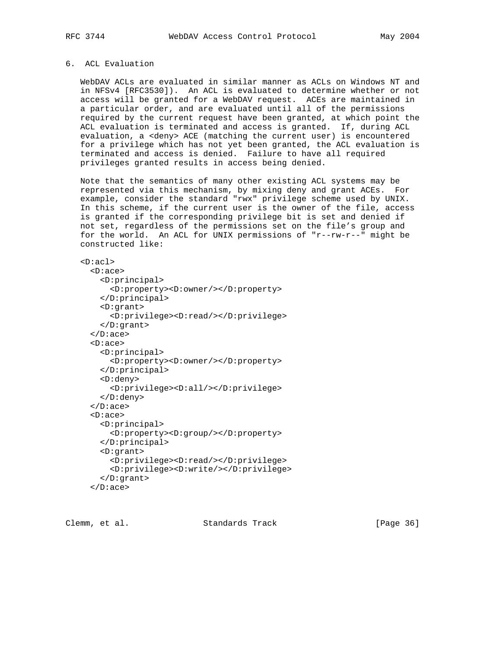## 6. ACL Evaluation

 WebDAV ACLs are evaluated in similar manner as ACLs on Windows NT and in NFSv4 [RFC3530]). An ACL is evaluated to determine whether or not access will be granted for a WebDAV request. ACEs are maintained in a particular order, and are evaluated until all of the permissions required by the current request have been granted, at which point the ACL evaluation is terminated and access is granted. If, during ACL evaluation, a <deny> ACE (matching the current user) is encountered for a privilege which has not yet been granted, the ACL evaluation is terminated and access is denied. Failure to have all required privileges granted results in access being denied.

 Note that the semantics of many other existing ACL systems may be represented via this mechanism, by mixing deny and grant ACEs. For example, consider the standard "rwx" privilege scheme used by UNIX. In this scheme, if the current user is the owner of the file, access is granted if the corresponding privilege bit is set and denied if not set, regardless of the permissions set on the file's group and for the world. An ACL for UNIX permissions of "r--rw-r--" might be constructed like:

<D:acl>

```
 <D:ace>
  <D:principal>
    <D:property><D:owner/></D:property>
  </D:principal>
  <D:grant>
    <D:privilege><D:read/></D:privilege>
  </D:grant>
</D:ace>
<D:ace>
  <D:principal>
    <D:property><D:owner/></D:property>
  </D:principal>
  <D:deny>
    <D:privilege><D:all/></D:privilege>
  </D:deny>
</D:ace>
<D:ace>
  <D:principal>
    <D:property><D:group/></D:property>
  </D:principal>
  <D:grant>
    <D:privilege><D:read/></D:privilege>
    <D:privilege><D:write/></D:privilege>
  </D:grant>
</D:ace>
```
Clemm, et al. Standards Track [Page 36]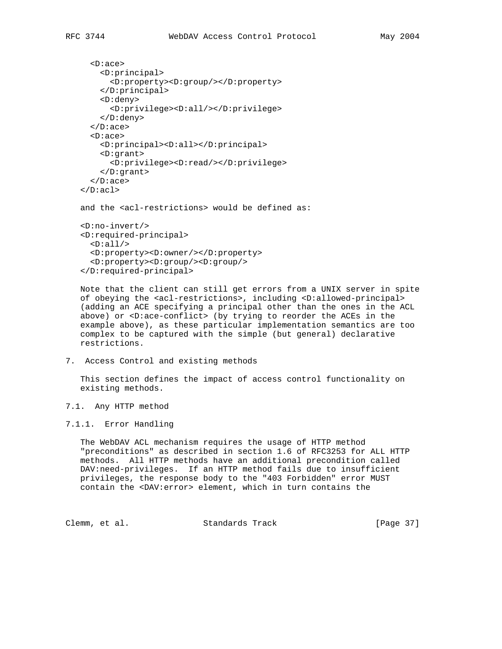```
 <D:ace>
     <D:principal>
        <D:property><D:group/></D:property>
     </D:principal>
     <D:deny>
        <D:privilege><D:all/></D:privilege>
     </D:deny>
   </D:ace>
   <D:ace>
     <D:principal><D:all></D:principal>
     <D:grant>
       <D:privilege><D:read/></D:privilege>
     </D:grant>
   </D:ace>
\langle D:ac1 \rangleand the <acl-restrictions> would be defined as:
 <D:no-invert/>
 <D:required-principal>
  \langle D:all \rangle <D:property><D:owner/></D:property>
   <D:property><D:group/><D:group/>
 </D:required-principal>
```
 Note that the client can still get errors from a UNIX server in spite of obeying the <acl-restrictions>, including <D:allowed-principal> (adding an ACE specifying a principal other than the ones in the ACL above) or <D:ace-conflict> (by trying to reorder the ACEs in the example above), as these particular implementation semantics are too complex to be captured with the simple (but general) declarative restrictions.

7. Access Control and existing methods

 This section defines the impact of access control functionality on existing methods.

7.1. Any HTTP method

### 7.1.1. Error Handling

 The WebDAV ACL mechanism requires the usage of HTTP method "preconditions" as described in section 1.6 of RFC3253 for ALL HTTP methods. All HTTP methods have an additional precondition called DAV:need-privileges. If an HTTP method fails due to insufficient privileges, the response body to the "403 Forbidden" error MUST contain the <DAV:error> element, which in turn contains the

Clemm, et al. Standards Track [Page 37]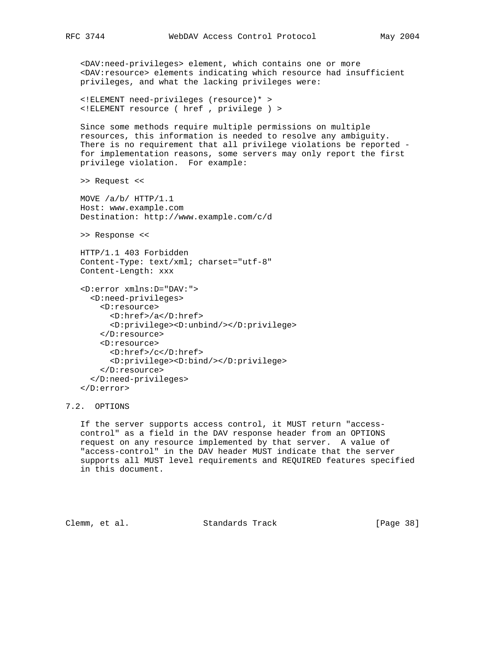<DAV:need-privileges> element, which contains one or more <DAV:resource> elements indicating which resource had insufficient privileges, and what the lacking privileges were:

 <!ELEMENT need-privileges (resource)\* > <!ELEMENT resource ( href , privilege ) >

 Since some methods require multiple permissions on multiple resources, this information is needed to resolve any ambiguity. There is no requirement that all privilege violations be reported for implementation reasons, some servers may only report the first privilege violation. For example:

>> Request <<

 MOVE /a/b/ HTTP/1.1 Host: www.example.com Destination: http://www.example.com/c/d

>> Response <<

 HTTP/1.1 403 Forbidden Content-Type: text/xml; charset="utf-8" Content-Length: xxx

```
 <D:error xmlns:D="DAV:">
   <D:need-privileges>
     <D:resource>
       <D:href>/a</D:href>
       <D:privilege><D:unbind/></D:privilege>
     </D:resource>
     <D:resource>
       <D:href>/c</D:href>
       <D:privilege><D:bind/></D:privilege>
    </D:resource>
   </D:need-privileges>
 </D:error>
```
# 7.2. OPTIONS

 If the server supports access control, it MUST return "access control" as a field in the DAV response header from an OPTIONS request on any resource implemented by that server. A value of "access-control" in the DAV header MUST indicate that the server supports all MUST level requirements and REQUIRED features specified in this document.

Clemm, et al. Standards Track [Page 38]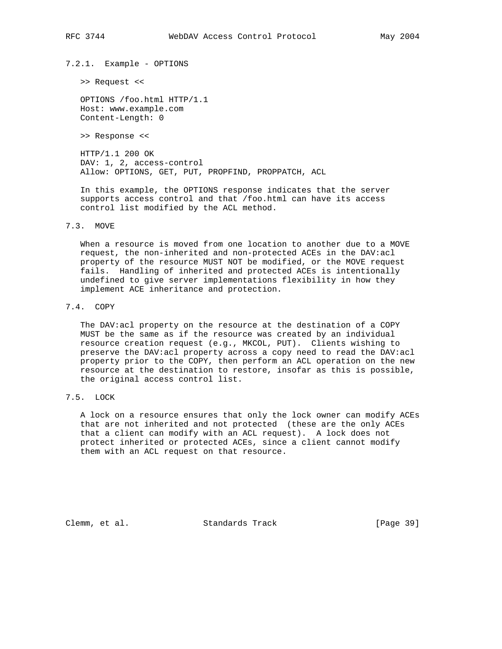7.2.1. Example - OPTIONS

>> Request <<

 OPTIONS /foo.html HTTP/1.1 Host: www.example.com Content-Length: 0

>> Response <<

 HTTP/1.1 200 OK DAV: 1, 2, access-control Allow: OPTIONS, GET, PUT, PROPFIND, PROPPATCH, ACL

 In this example, the OPTIONS response indicates that the server supports access control and that /foo.html can have its access control list modified by the ACL method.

7.3. MOVE

 When a resource is moved from one location to another due to a MOVE request, the non-inherited and non-protected ACEs in the DAV:acl property of the resource MUST NOT be modified, or the MOVE request fails. Handling of inherited and protected ACEs is intentionally undefined to give server implementations flexibility in how they implement ACE inheritance and protection.

### 7.4. COPY

 The DAV:acl property on the resource at the destination of a COPY MUST be the same as if the resource was created by an individual resource creation request (e.g., MKCOL, PUT). Clients wishing to preserve the DAV:acl property across a copy need to read the DAV:acl property prior to the COPY, then perform an ACL operation on the new resource at the destination to restore, insofar as this is possible, the original access control list.

7.5. LOCK

 A lock on a resource ensures that only the lock owner can modify ACEs that are not inherited and not protected (these are the only ACEs that a client can modify with an ACL request). A lock does not protect inherited or protected ACEs, since a client cannot modify them with an ACL request on that resource.

Clemm, et al. Standards Track [Page 39]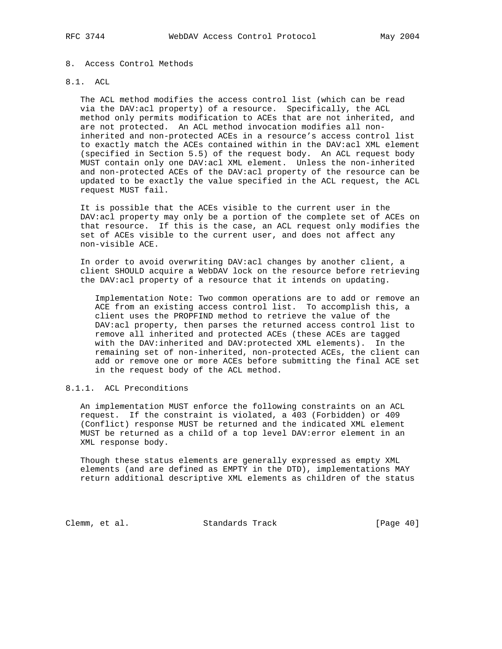## 8. Access Control Methods

# 8.1. ACL

 The ACL method modifies the access control list (which can be read via the DAV:acl property) of a resource. Specifically, the ACL method only permits modification to ACEs that are not inherited, and are not protected. An ACL method invocation modifies all non inherited and non-protected ACEs in a resource's access control list to exactly match the ACEs contained within in the DAV:acl XML element (specified in Section 5.5) of the request body. An ACL request body MUST contain only one DAV:acl XML element. Unless the non-inherited and non-protected ACEs of the DAV:acl property of the resource can be updated to be exactly the value specified in the ACL request, the ACL request MUST fail.

 It is possible that the ACEs visible to the current user in the DAV:acl property may only be a portion of the complete set of ACEs on that resource. If this is the case, an ACL request only modifies the set of ACEs visible to the current user, and does not affect any non-visible ACE.

 In order to avoid overwriting DAV:acl changes by another client, a client SHOULD acquire a WebDAV lock on the resource before retrieving the DAV:acl property of a resource that it intends on updating.

 Implementation Note: Two common operations are to add or remove an ACE from an existing access control list. To accomplish this, a client uses the PROPFIND method to retrieve the value of the DAV:acl property, then parses the returned access control list to remove all inherited and protected ACEs (these ACEs are tagged with the DAV:inherited and DAV:protected XML elements). In the remaining set of non-inherited, non-protected ACEs, the client can add or remove one or more ACEs before submitting the final ACE set in the request body of the ACL method.

# 8.1.1. ACL Preconditions

 An implementation MUST enforce the following constraints on an ACL request. If the constraint is violated, a 403 (Forbidden) or 409 (Conflict) response MUST be returned and the indicated XML element MUST be returned as a child of a top level DAV:error element in an XML response body.

 Though these status elements are generally expressed as empty XML elements (and are defined as EMPTY in the DTD), implementations MAY return additional descriptive XML elements as children of the status

Clemm, et al. Standards Track [Page 40]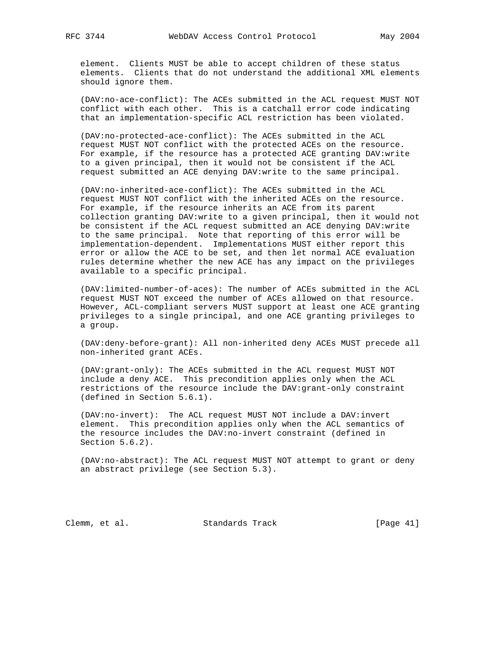element. Clients MUST be able to accept children of these status elements. Clients that do not understand the additional XML elements should ignore them.

 (DAV:no-ace-conflict): The ACEs submitted in the ACL request MUST NOT conflict with each other. This is a catchall error code indicating that an implementation-specific ACL restriction has been violated.

 (DAV:no-protected-ace-conflict): The ACEs submitted in the ACL request MUST NOT conflict with the protected ACEs on the resource. For example, if the resource has a protected ACE granting DAV:write to a given principal, then it would not be consistent if the ACL request submitted an ACE denying DAV:write to the same principal.

 (DAV:no-inherited-ace-conflict): The ACEs submitted in the ACL request MUST NOT conflict with the inherited ACEs on the resource. For example, if the resource inherits an ACE from its parent collection granting DAV:write to a given principal, then it would not be consistent if the ACL request submitted an ACE denying DAV:write to the same principal. Note that reporting of this error will be implementation-dependent. Implementations MUST either report this error or allow the ACE to be set, and then let normal ACE evaluation rules determine whether the new ACE has any impact on the privileges available to a specific principal.

 (DAV:limited-number-of-aces): The number of ACEs submitted in the ACL request MUST NOT exceed the number of ACEs allowed on that resource. However, ACL-compliant servers MUST support at least one ACE granting privileges to a single principal, and one ACE granting privileges to a group.

 (DAV:deny-before-grant): All non-inherited deny ACEs MUST precede all non-inherited grant ACEs.

 (DAV:grant-only): The ACEs submitted in the ACL request MUST NOT include a deny ACE. This precondition applies only when the ACL restrictions of the resource include the DAV:grant-only constraint (defined in Section 5.6.1).

 (DAV:no-invert): The ACL request MUST NOT include a DAV:invert element. This precondition applies only when the ACL semantics of the resource includes the DAV:no-invert constraint (defined in Section 5.6.2).

 (DAV:no-abstract): The ACL request MUST NOT attempt to grant or deny an abstract privilege (see Section 5.3).

Clemm, et al. Standards Track [Page 41]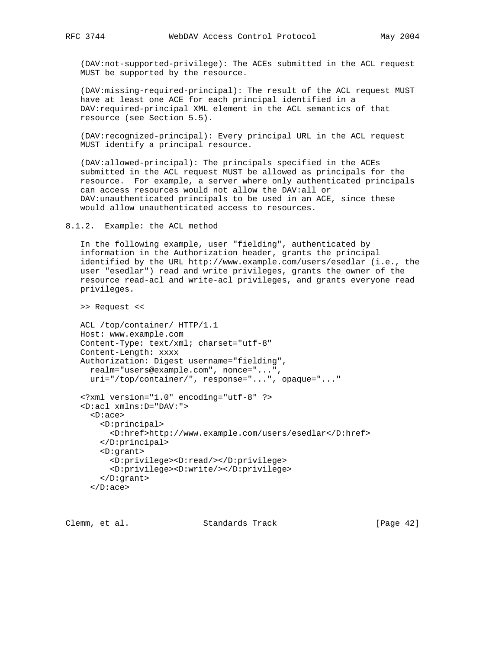(DAV:not-supported-privilege): The ACEs submitted in the ACL request MUST be supported by the resource.

 (DAV:missing-required-principal): The result of the ACL request MUST have at least one ACE for each principal identified in a DAV:required-principal XML element in the ACL semantics of that resource (see Section 5.5).

 (DAV:recognized-principal): Every principal URL in the ACL request MUST identify a principal resource.

 (DAV:allowed-principal): The principals specified in the ACEs submitted in the ACL request MUST be allowed as principals for the resource. For example, a server where only authenticated principals can access resources would not allow the DAV:all or DAV:unauthenticated principals to be used in an ACE, since these would allow unauthenticated access to resources.

8.1.2. Example: the ACL method

 In the following example, user "fielding", authenticated by information in the Authorization header, grants the principal identified by the URL http://www.example.com/users/esedlar (i.e., the user "esedlar") read and write privileges, grants the owner of the resource read-acl and write-acl privileges, and grants everyone read privileges.

>> Request <<

```
 ACL /top/container/ HTTP/1.1
 Host: www.example.com
 Content-Type: text/xml; charset="utf-8"
 Content-Length: xxxx
 Authorization: Digest username="fielding",
   realm="users@example.com", nonce="...",
  uri="/top/container/", response="...", opaque="..."
 <?xml version="1.0" encoding="utf-8" ?>
 <D:acl xmlns:D="DAV:">
   <D:ace>
     <D:principal>
       <D:href>http://www.example.com/users/esedlar</D:href>
     </D:principal>
     <D:grant>
       <D:privilege><D:read/></D:privilege>
       <D:privilege><D:write/></D:privilege>
     </D:grant>
   </D:ace>
```
Clemm, et al. Standards Track [Page 42]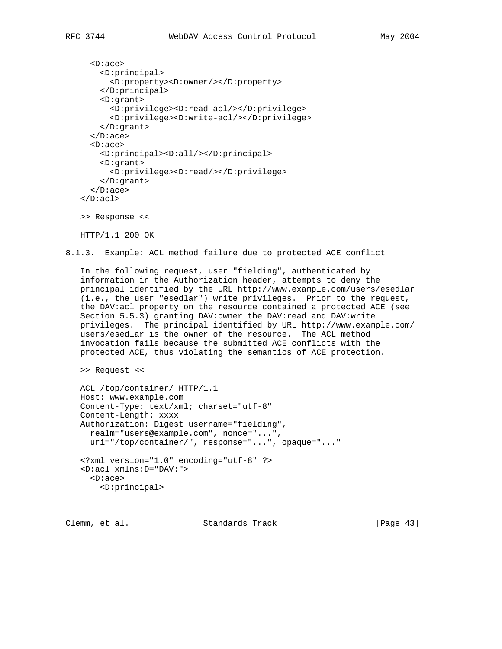```
 <D:ace>
     <D:principal>
        <D:property><D:owner/></D:property>
     </D:principal>
     <D:grant>
       <D:privilege><D:read-acl/></D:privilege>
       <D:privilege><D:write-acl/></D:privilege>
     </D:grant>
   </D:ace>
   <D:ace>
     <D:principal><D:all/></D:principal>
     <D:grant>
        <D:privilege><D:read/></D:privilege>
     </D:grant>
  \langle D:ace \rangle\langle D:ac1 \rangle >> Response <<
```
HTTP/1.1 200 OK

8.1.3. Example: ACL method failure due to protected ACE conflict

 In the following request, user "fielding", authenticated by information in the Authorization header, attempts to deny the principal identified by the URL http://www.example.com/users/esedlar (i.e., the user "esedlar") write privileges. Prior to the request, the DAV:acl property on the resource contained a protected ACE (see Section 5.5.3) granting DAV: owner the DAV: read and DAV: write privileges. The principal identified by URL http://www.example.com/ users/esedlar is the owner of the resource. The ACL method invocation fails because the submitted ACE conflicts with the protected ACE, thus violating the semantics of ACE protection.

>> Request <<

```
 ACL /top/container/ HTTP/1.1
 Host: www.example.com
 Content-Type: text/xml; charset="utf-8"
 Content-Length: xxxx
 Authorization: Digest username="fielding",
  realm="users@example.com", nonce="...",
   uri="/top/container/", response="...", opaque="..."
 <?xml version="1.0" encoding="utf-8" ?>
 <D:acl xmlns:D="DAV:">
   <D:ace>
     <D:principal>
```
Clemm, et al. Standards Track [Page 43]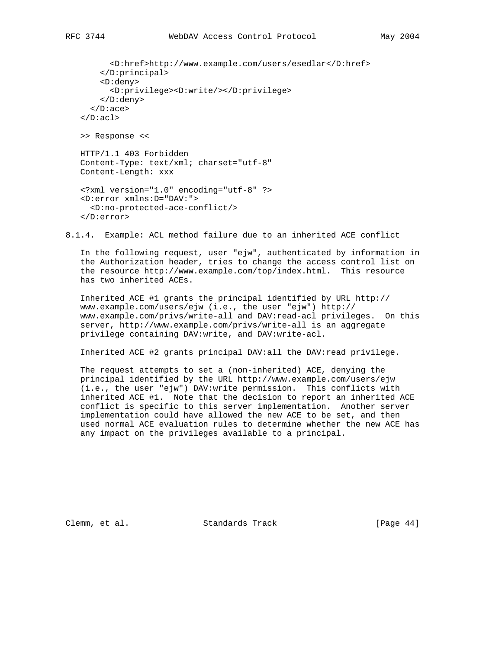<D:href>http://www.example.com/users/esedlar</D:href> </D:principal> <D:deny> <D:privilege><D:write/></D:privilege> </D:deny> </D:ace>  $\langle D:ac1 \rangle$  >> Response << HTTP/1.1 403 Forbidden Content-Type: text/xml; charset="utf-8" Content-Length: xxx <?xml version="1.0" encoding="utf-8" ?> <D:error xmlns:D="DAV:"> <D:no-protected-ace-conflict/> </D:error>

8.1.4. Example: ACL method failure due to an inherited ACE conflict

 In the following request, user "ejw", authenticated by information in the Authorization header, tries to change the access control list on the resource http://www.example.com/top/index.html. This resource has two inherited ACEs.

 Inherited ACE #1 grants the principal identified by URL http:// www.example.com/users/ejw (i.e., the user "ejw") http:// www.example.com/privs/write-all and DAV:read-acl privileges. On this server, http://www.example.com/privs/write-all is an aggregate privilege containing DAV:write, and DAV:write-acl.

Inherited ACE #2 grants principal DAV:all the DAV:read privilege.

 The request attempts to set a (non-inherited) ACE, denying the principal identified by the URL http://www.example.com/users/ejw (i.e., the user "ejw") DAV:write permission. This conflicts with inherited ACE #1. Note that the decision to report an inherited ACE conflict is specific to this server implementation. Another server implementation could have allowed the new ACE to be set, and then used normal ACE evaluation rules to determine whether the new ACE has any impact on the privileges available to a principal.

Clemm, et al. Standards Track [Page 44]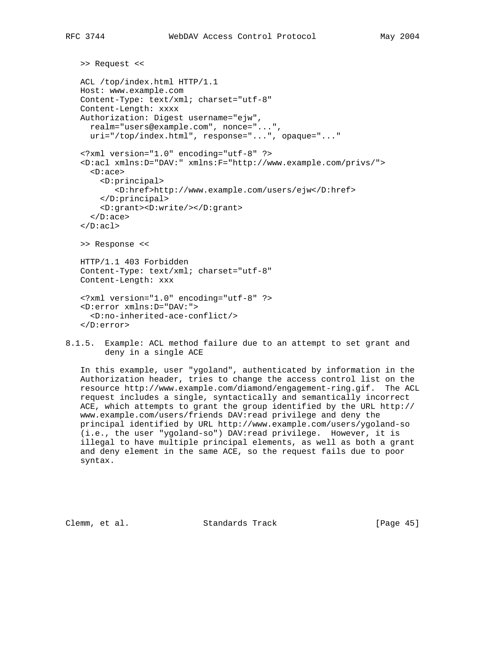```
 >> Request <<
```

```
 ACL /top/index.html HTTP/1.1
 Host: www.example.com
 Content-Type: text/xml; charset="utf-8"
 Content-Length: xxxx
 Authorization: Digest username="ejw",
   realm="users@example.com", nonce="...",
   uri="/top/index.html", response="...", opaque="..."
 <?xml version="1.0" encoding="utf-8" ?>
 <D:acl xmlns:D="DAV:" xmlns:F="http://www.example.com/privs/">
   <D:ace>
     <D:principal>
        <D:href>http://www.example.com/users/ejw</D:href>
     </D:principal>
     <D:grant><D:write/></D:grant>
  \langle D:ace \rangle\langle D:ac1 \rangle >> Response <<
 HTTP/1.1 403 Forbidden
 Content-Type: text/xml; charset="utf-8"
 Content-Length: xxx
 <?xml version="1.0" encoding="utf-8" ?>
 <D:error xmlns:D="DAV:">
   <D:no-inherited-ace-conflict/>
 </D:error>
```
8.1.5. Example: ACL method failure due to an attempt to set grant and deny in a single ACE

 In this example, user "ygoland", authenticated by information in the Authorization header, tries to change the access control list on the resource http://www.example.com/diamond/engagement-ring.gif. The ACL request includes a single, syntactically and semantically incorrect ACE, which attempts to grant the group identified by the URL http:// www.example.com/users/friends DAV:read privilege and deny the principal identified by URL http://www.example.com/users/ygoland-so (i.e., the user "ygoland-so") DAV:read privilege. However, it is illegal to have multiple principal elements, as well as both a grant and deny element in the same ACE, so the request fails due to poor syntax.

Clemm, et al. Standards Track [Page 45]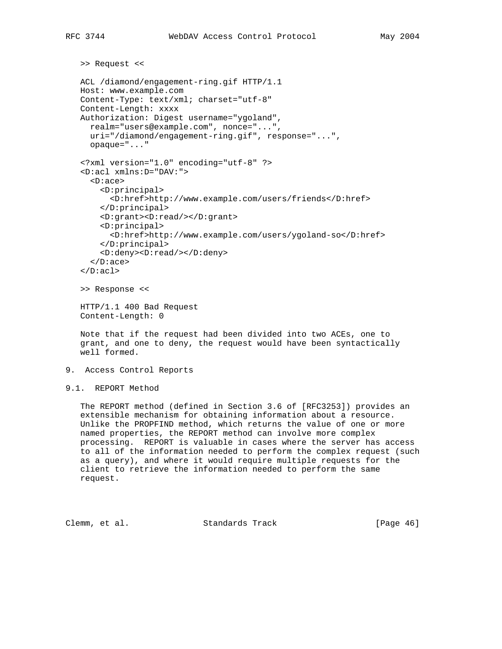```
 >> Request <<
   ACL /diamond/engagement-ring.gif HTTP/1.1
   Host: www.example.com
    Content-Type: text/xml; charset="utf-8"
    Content-Length: xxxx
   Authorization: Digest username="ygoland",
     realm="users@example.com", nonce="...",
     uri="/diamond/engagement-ring.gif", response="...",
      opaque="..."
    <?xml version="1.0" encoding="utf-8" ?>
    <D:acl xmlns:D="DAV:">
      <D:ace>
        <D:principal>
          <D:href>http://www.example.com/users/friends</D:href>
        </D:principal>
        <D:grant><D:read/></D:grant>
        <D:principal>
          <D:href>http://www.example.com/users/ygoland-so</D:href>
        </D:principal>
        <D:deny><D:read/></D:deny>
     \langle D:ace \rangle\langle D:ac1 \rangle >> Response <<
   HTTP/1.1 400 Bad Request
   Content-Length: 0
   Note that if the request had been divided into two ACEs, one to
    grant, and one to deny, the request would have been syntactically
    well formed.
9. Access Control Reports
9.1. REPORT Method
```
 The REPORT method (defined in Section 3.6 of [RFC3253]) provides an extensible mechanism for obtaining information about a resource. Unlike the PROPFIND method, which returns the value of one or more named properties, the REPORT method can involve more complex processing. REPORT is valuable in cases where the server has access to all of the information needed to perform the complex request (such as a query), and where it would require multiple requests for the client to retrieve the information needed to perform the same request.

Clemm, et al. Standards Track [Page 46]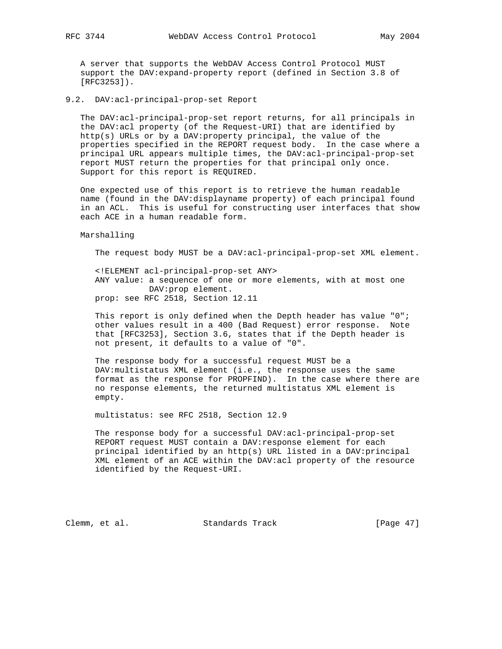A server that supports the WebDAV Access Control Protocol MUST support the DAV:expand-property report (defined in Section 3.8 of [RFC3253]).

9.2. DAV:acl-principal-prop-set Report

 The DAV:acl-principal-prop-set report returns, for all principals in the DAV:acl property (of the Request-URI) that are identified by http(s) URLs or by a DAV:property principal, the value of the properties specified in the REPORT request body. In the case where a principal URL appears multiple times, the DAV:acl-principal-prop-set report MUST return the properties for that principal only once. Support for this report is REQUIRED.

 One expected use of this report is to retrieve the human readable name (found in the DAV:displayname property) of each principal found in an ACL. This is useful for constructing user interfaces that show each ACE in a human readable form.

Marshalling

The request body MUST be a DAV:acl-principal-prop-set XML element.

 <!ELEMENT acl-principal-prop-set ANY> ANY value: a sequence of one or more elements, with at most one DAV:prop element. prop: see RFC 2518, Section 12.11

 This report is only defined when the Depth header has value "0"; other values result in a 400 (Bad Request) error response. Note that [RFC3253], Section 3.6, states that if the Depth header is not present, it defaults to a value of "0".

 The response body for a successful request MUST be a DAV:multistatus XML element (i.e., the response uses the same format as the response for PROPFIND). In the case where there are no response elements, the returned multistatus XML element is empty.

multistatus: see RFC 2518, Section 12.9

 The response body for a successful DAV:acl-principal-prop-set REPORT request MUST contain a DAV:response element for each principal identified by an http(s) URL listed in a DAV:principal XML element of an ACE within the DAV:acl property of the resource identified by the Request-URI.

Clemm, et al. Standards Track [Page 47]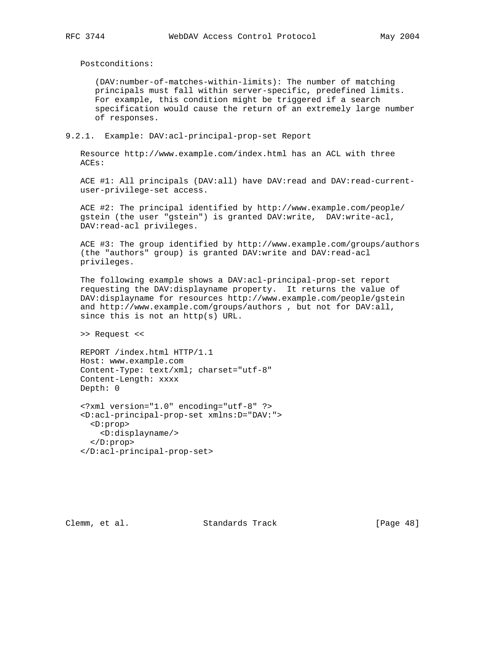Postconditions:

 (DAV:number-of-matches-within-limits): The number of matching principals must fall within server-specific, predefined limits. For example, this condition might be triggered if a search specification would cause the return of an extremely large number of responses.

9.2.1. Example: DAV:acl-principal-prop-set Report

 Resource http://www.example.com/index.html has an ACL with three ACEs:

 ACE #1: All principals (DAV:all) have DAV:read and DAV:read-current user-privilege-set access.

 ACE #2: The principal identified by http://www.example.com/people/ gstein (the user "gstein") is granted DAV:write, DAV:write-acl, DAV:read-acl privileges.

 ACE #3: The group identified by http://www.example.com/groups/authors (the "authors" group) is granted DAV:write and DAV:read-acl privileges.

 The following example shows a DAV:acl-principal-prop-set report requesting the DAV:displayname property. It returns the value of DAV:displayname for resources http://www.example.com/people/gstein and http://www.example.com/groups/authors , but not for DAV:all, since this is not an http(s) URL.

>> Request <<

 REPORT /index.html HTTP/1.1 Host: www.example.com Content-Type: text/xml; charset="utf-8" Content-Length: xxxx Depth: 0

```
 <?xml version="1.0" encoding="utf-8" ?>
 <D:acl-principal-prop-set xmlns:D="DAV:">
  <D:prop>
    <D:displayname/>
  </D:prop>
 </D:acl-principal-prop-set>
```
Clemm, et al. Standards Track [Page 48]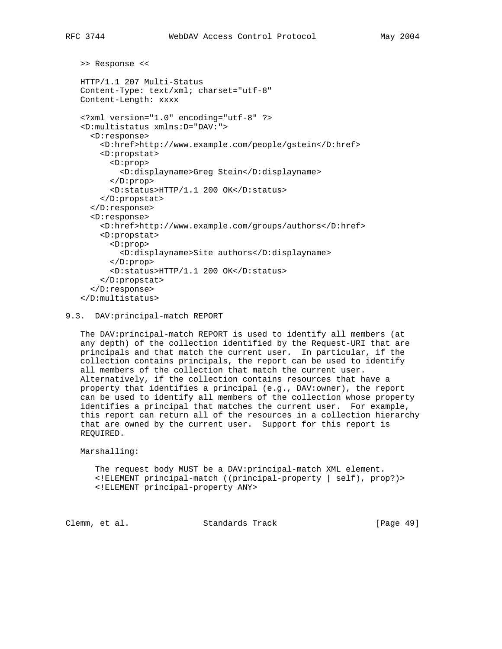```
 >> Response <<
 HTTP/1.1 207 Multi-Status
 Content-Type: text/xml; charset="utf-8"
 Content-Length: xxxx
 <?xml version="1.0" encoding="utf-8" ?>
 <D:multistatus xmlns:D="DAV:">
   <D:response>
     <D:href>http://www.example.com/people/gstein</D:href>
     <D:propstat>
       <D:prop>
         <D:displayname>Greg Stein</D:displayname>
       </D:prop>
       <D:status>HTTP/1.1 200 OK</D:status>
     </D:propstat>
   </D:response>
   <D:response>
     <D:href>http://www.example.com/groups/authors</D:href>
     <D:propstat>
       <D:prop>
         <D:displayname>Site authors</D:displayname>
       </D:prop>
       <D:status>HTTP/1.1 200 OK</D:status>
     </D:propstat>
   </D:response>
 </D:multistatus>
```
#### 9.3. DAV:principal-match REPORT

 The DAV:principal-match REPORT is used to identify all members (at any depth) of the collection identified by the Request-URI that are principals and that match the current user. In particular, if the collection contains principals, the report can be used to identify all members of the collection that match the current user. Alternatively, if the collection contains resources that have a property that identifies a principal (e.g., DAV:owner), the report can be used to identify all members of the collection whose property identifies a principal that matches the current user. For example, this report can return all of the resources in a collection hierarchy that are owned by the current user. Support for this report is REQUIRED.

Marshalling:

 The request body MUST be a DAV:principal-match XML element. <!ELEMENT principal-match ((principal-property | self), prop?)> <!ELEMENT principal-property ANY>

Clemm, et al. Standards Track [Page 49]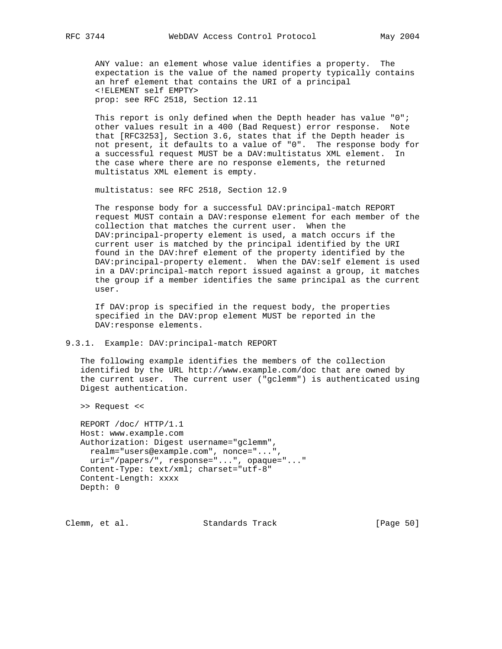ANY value: an element whose value identifies a property. The expectation is the value of the named property typically contains an href element that contains the URI of a principal <!ELEMENT self EMPTY> prop: see RFC 2518, Section 12.11

 This report is only defined when the Depth header has value "0"; other values result in a 400 (Bad Request) error response. Note that [RFC3253], Section 3.6, states that if the Depth header is not present, it defaults to a value of "0". The response body for a successful request MUST be a DAV:multistatus XML element. In the case where there are no response elements, the returned multistatus XML element is empty.

multistatus: see RFC 2518, Section 12.9

 The response body for a successful DAV:principal-match REPORT request MUST contain a DAV:response element for each member of the collection that matches the current user. When the DAV:principal-property element is used, a match occurs if the current user is matched by the principal identified by the URI found in the DAV:href element of the property identified by the DAV:principal-property element. When the DAV:self element is used in a DAV:principal-match report issued against a group, it matches the group if a member identifies the same principal as the current user.

 If DAV:prop is specified in the request body, the properties specified in the DAV:prop element MUST be reported in the DAV:response elements.

#### 9.3.1. Example: DAV:principal-match REPORT

 The following example identifies the members of the collection identified by the URL http://www.example.com/doc that are owned by the current user. The current user ("gclemm") is authenticated using Digest authentication.

>> Request <<

 REPORT /doc/ HTTP/1.1 Host: www.example.com Authorization: Digest username="gclemm", realm="users@example.com", nonce="...", uri="/papers/", response="...", opaque="..." Content-Type: text/xml; charset="utf-8" Content-Length: xxxx Depth: 0

Clemm, et al. Standards Track [Page 50]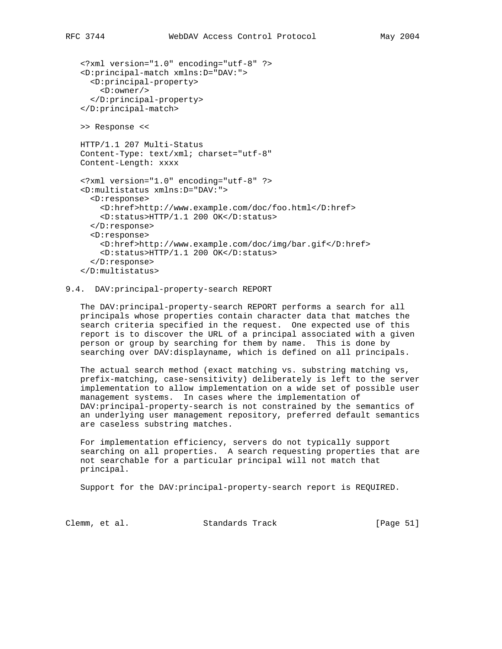```
 <?xml version="1.0" encoding="utf-8" ?>
 <D:principal-match xmlns:D="DAV:">
   <D:principal-property>
     <D:owner/>
   </D:principal-property>
 </D:principal-match>
 >> Response <<
 HTTP/1.1 207 Multi-Status
 Content-Type: text/xml; charset="utf-8"
 Content-Length: xxxx
 <?xml version="1.0" encoding="utf-8" ?>
 <D:multistatus xmlns:D="DAV:">
   <D:response>
     <D:href>http://www.example.com/doc/foo.html</D:href>
     <D:status>HTTP/1.1 200 OK</D:status>
   </D:response>
   <D:response>
     <D:href>http://www.example.com/doc/img/bar.gif</D:href>
     <D:status>HTTP/1.1 200 OK</D:status>
   </D:response>
```

```
 </D:multistatus>
```
### 9.4. DAV:principal-property-search REPORT

 The DAV:principal-property-search REPORT performs a search for all principals whose properties contain character data that matches the search criteria specified in the request. One expected use of this report is to discover the URL of a principal associated with a given person or group by searching for them by name. This is done by searching over DAV:displayname, which is defined on all principals.

 The actual search method (exact matching vs. substring matching vs, prefix-matching, case-sensitivity) deliberately is left to the server implementation to allow implementation on a wide set of possible user management systems. In cases where the implementation of DAV:principal-property-search is not constrained by the semantics of an underlying user management repository, preferred default semantics are caseless substring matches.

 For implementation efficiency, servers do not typically support searching on all properties. A search requesting properties that are not searchable for a particular principal will not match that principal.

Support for the DAV:principal-property-search report is REQUIRED.

Clemm, et al. Standards Track [Page 51]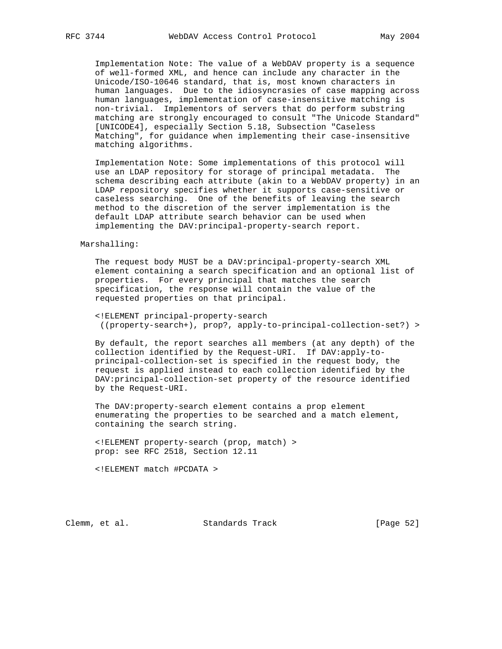Implementation Note: The value of a WebDAV property is a sequence of well-formed XML, and hence can include any character in the Unicode/ISO-10646 standard, that is, most known characters in human languages. Due to the idiosyncrasies of case mapping across human languages, implementation of case-insensitive matching is non-trivial. Implementors of servers that do perform substring matching are strongly encouraged to consult "The Unicode Standard" [UNICODE4], especially Section 5.18, Subsection "Caseless Matching", for guidance when implementing their case-insensitive matching algorithms.

 Implementation Note: Some implementations of this protocol will use an LDAP repository for storage of principal metadata. The schema describing each attribute (akin to a WebDAV property) in an LDAP repository specifies whether it supports case-sensitive or caseless searching. One of the benefits of leaving the search method to the discretion of the server implementation is the default LDAP attribute search behavior can be used when implementing the DAV:principal-property-search report.

#### Marshalling:

 The request body MUST be a DAV:principal-property-search XML element containing a search specification and an optional list of properties. For every principal that matches the search specification, the response will contain the value of the requested properties on that principal.

 <!ELEMENT principal-property-search ((property-search+), prop?, apply-to-principal-collection-set?) >

 By default, the report searches all members (at any depth) of the collection identified by the Request-URI. If DAV:apply-to principal-collection-set is specified in the request body, the request is applied instead to each collection identified by the DAV:principal-collection-set property of the resource identified by the Request-URI.

 The DAV:property-search element contains a prop element enumerating the properties to be searched and a match element, containing the search string.

 <!ELEMENT property-search (prop, match) > prop: see RFC 2518, Section 12.11

<!ELEMENT match #PCDATA >

Clemm, et al. Standards Track [Page 52]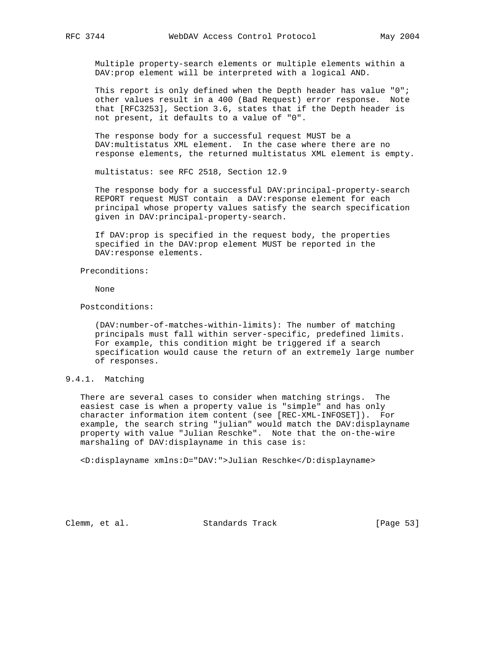Multiple property-search elements or multiple elements within a DAV:prop element will be interpreted with a logical AND.

 This report is only defined when the Depth header has value "0"; other values result in a 400 (Bad Request) error response. Note that [RFC3253], Section 3.6, states that if the Depth header is not present, it defaults to a value of "0".

 The response body for a successful request MUST be a DAV:multistatus XML element. In the case where there are no response elements, the returned multistatus XML element is empty.

multistatus: see RFC 2518, Section 12.9

 The response body for a successful DAV:principal-property-search REPORT request MUST contain a DAV:response element for each principal whose property values satisfy the search specification given in DAV:principal-property-search.

 If DAV:prop is specified in the request body, the properties specified in the DAV:prop element MUST be reported in the DAV:response elements.

Preconditions:

None

Postconditions:

 (DAV:number-of-matches-within-limits): The number of matching principals must fall within server-specific, predefined limits. For example, this condition might be triggered if a search specification would cause the return of an extremely large number of responses.

### 9.4.1. Matching

 There are several cases to consider when matching strings. The easiest case is when a property value is "simple" and has only character information item content (see [REC-XML-INFOSET]). For example, the search string "julian" would match the DAV:displayname property with value "Julian Reschke". Note that the on-the-wire marshaling of DAV:displayname in this case is:

<D:displayname xmlns:D="DAV:">Julian Reschke</D:displayname>

Clemm, et al. Standards Track [Page 53]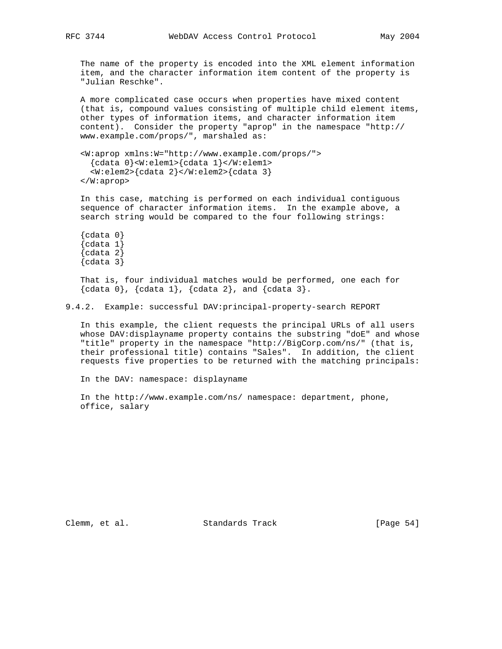The name of the property is encoded into the XML element information item, and the character information item content of the property is "Julian Reschke".

 A more complicated case occurs when properties have mixed content (that is, compound values consisting of multiple child element items, other types of information items, and character information item content). Consider the property "aprop" in the namespace "http:// www.example.com/props/", marshaled as:

```
 <W:aprop xmlns:W="http://www.example.com/props/">
  {cdata 0}<W:elem1>{cdata 1}</W:elem1>
   <W:elem2>{cdata 2}</W:elem2>{cdata 3}
 </W:aprop>
```
 In this case, matching is performed on each individual contiguous sequence of character information items. In the example above, a search string would be compared to the four following strings:

```
\{cdata 0\}\{cdata 1\}\{cdata 2\}\{cdata 3\}
```
 That is, four individual matches would be performed, one each for  ${cdata 0}, {cdata 1}, {cdata 2}, and {cdata 3}.$ 

9.4.2. Example: successful DAV:principal-property-search REPORT

 In this example, the client requests the principal URLs of all users whose DAV:displayname property contains the substring "doE" and whose "title" property in the namespace "http://BigCorp.com/ns/" (that is, their professional title) contains "Sales". In addition, the client requests five properties to be returned with the matching principals:

In the DAV: namespace: displayname

 In the http://www.example.com/ns/ namespace: department, phone, office, salary

Clemm, et al. Standards Track [Page 54]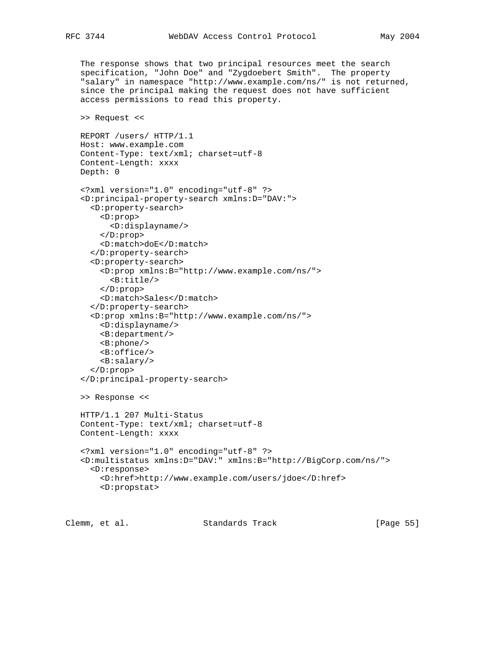The response shows that two principal resources meet the search specification, "John Doe" and "Zygdoebert Smith". The property "salary" in namespace "http://www.example.com/ns/" is not returned, since the principal making the request does not have sufficient access permissions to read this property.

```
 >> Request <<
```

```
 REPORT /users/ HTTP/1.1
 Host: www.example.com
 Content-Type: text/xml; charset=utf-8
 Content-Length: xxxx
 Depth: 0
```

```
 <?xml version="1.0" encoding="utf-8" ?>
 <D:principal-property-search xmlns:D="DAV:">
   <D:property-search>
     <D:prop>
       <D:displayname/>
     </D:prop>
     <D:match>doE</D:match>
   </D:property-search>
   <D:property-search>
     <D:prop xmlns:B="http://www.example.com/ns/">
       <B:title/>
     </D:prop>
     <D:match>Sales</D:match>
   </D:property-search>
   <D:prop xmlns:B="http://www.example.com/ns/">
     <D:displayname/>
     <B:department/>
     <B:phone/>
     <B:office/>
     <B:salary/>
   </D:prop>
 </D:principal-property-search>
 >> Response <<
 HTTP/1.1 207 Multi-Status
 Content-Type: text/xml; charset=utf-8
 Content-Length: xxxx
 <?xml version="1.0" encoding="utf-8" ?>
 <D:multistatus xmlns:D="DAV:" xmlns:B="http://BigCorp.com/ns/">
   <D:response>
     <D:href>http://www.example.com/users/jdoe</D:href>
     <D:propstat>
```
Clemm, et al. Standards Track [Page 55]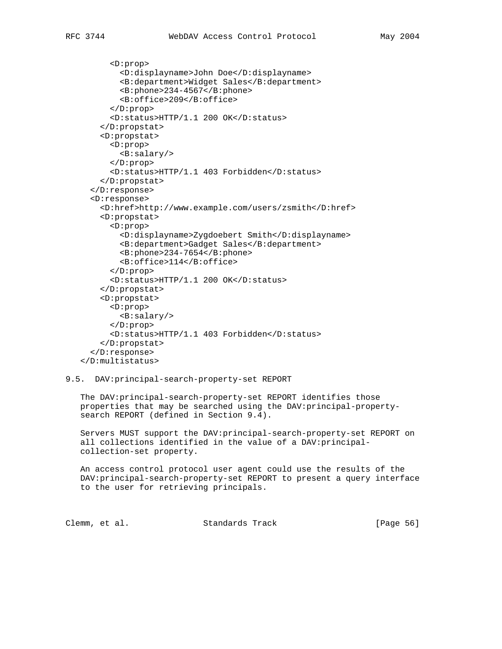```
 <D:prop>
         <D:displayname>John Doe</D:displayname>
         <B:department>Widget Sales</B:department>
         <B:phone>234-4567</B:phone>
         <B:office>209</B:office>
       </D:prop>
       <D:status>HTTP/1.1 200 OK</D:status>
     </D:propstat>
     <D:propstat>
       <D:prop>
         <B:salary/>
       </D:prop>
       <D:status>HTTP/1.1 403 Forbidden</D:status>
     </D:propstat>
   </D:response>
   <D:response>
     <D:href>http://www.example.com/users/zsmith</D:href>
     <D:propstat>
       <D:prop>
         <D:displayname>Zygdoebert Smith</D:displayname>
         <B:department>Gadget Sales</B:department>
         <B:phone>234-7654</B:phone>
         <B:office>114</B:office>
       </D:prop>
       <D:status>HTTP/1.1 200 OK</D:status>
     </D:propstat>
     <D:propstat>
       <D:prop>
         <B:salary/>
       </D:prop>
       <D:status>HTTP/1.1 403 Forbidden</D:status>
     </D:propstat>
   </D:response>
 </D:multistatus>
```
### 9.5. DAV:principal-search-property-set REPORT

 The DAV:principal-search-property-set REPORT identifies those properties that may be searched using the DAV:principal-property search REPORT (defined in Section 9.4).

 Servers MUST support the DAV:principal-search-property-set REPORT on all collections identified in the value of a DAV:principal collection-set property.

 An access control protocol user agent could use the results of the DAV:principal-search-property-set REPORT to present a query interface to the user for retrieving principals.

Clemm, et al. Standards Track [Page 56]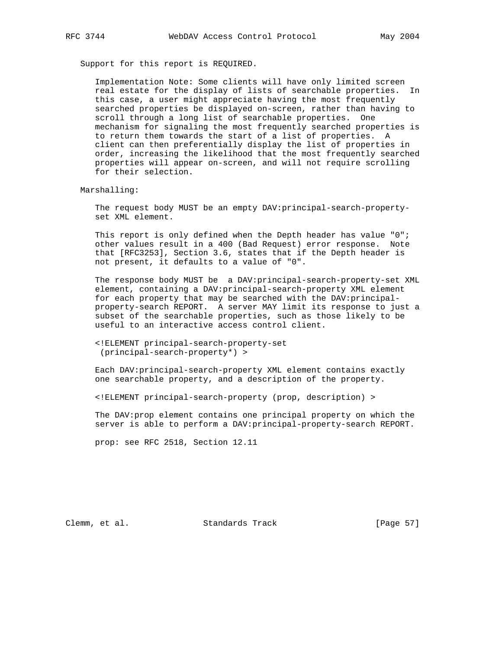Support for this report is REQUIRED.

 Implementation Note: Some clients will have only limited screen real estate for the display of lists of searchable properties. In this case, a user might appreciate having the most frequently searched properties be displayed on-screen, rather than having to scroll through a long list of searchable properties. One mechanism for signaling the most frequently searched properties is to return them towards the start of a list of properties. A client can then preferentially display the list of properties in order, increasing the likelihood that the most frequently searched properties will appear on-screen, and will not require scrolling for their selection.

Marshalling:

 The request body MUST be an empty DAV:principal-search-property set XML element.

 This report is only defined when the Depth header has value "0"; other values result in a 400 (Bad Request) error response. Note that [RFC3253], Section 3.6, states that if the Depth header is not present, it defaults to a value of "0".

 The response body MUST be a DAV:principal-search-property-set XML element, containing a DAV:principal-search-property XML element for each property that may be searched with the DAV: principal property-search REPORT. A server MAY limit its response to just a subset of the searchable properties, such as those likely to be useful to an interactive access control client.

 <!ELEMENT principal-search-property-set (principal-search-property\*) >

 Each DAV:principal-search-property XML element contains exactly one searchable property, and a description of the property.

<!ELEMENT principal-search-property (prop, description) >

 The DAV:prop element contains one principal property on which the server is able to perform a DAV:principal-property-search REPORT.

prop: see RFC 2518, Section 12.11

Clemm, et al. Standards Track [Page 57]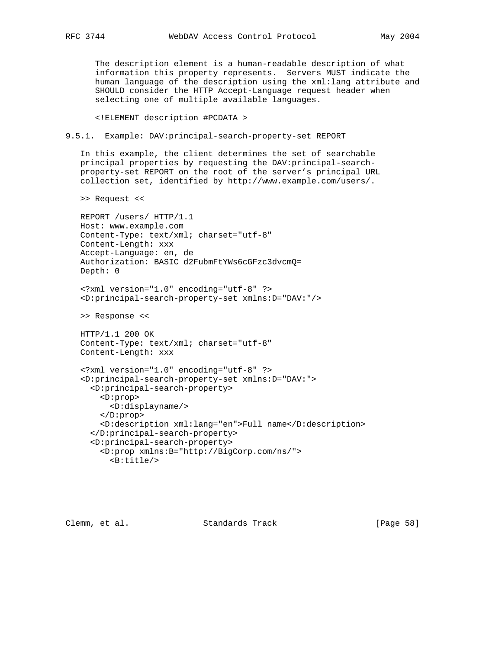The description element is a human-readable description of what information this property represents. Servers MUST indicate the human language of the description using the xml:lang attribute and SHOULD consider the HTTP Accept-Language request header when selecting one of multiple available languages.

<!ELEMENT description #PCDATA >

9.5.1. Example: DAV:principal-search-property-set REPORT

 In this example, the client determines the set of searchable principal properties by requesting the DAV:principal-search property-set REPORT on the root of the server's principal URL collection set, identified by http://www.example.com/users/.

>> Request <<

 REPORT /users/ HTTP/1.1 Host: www.example.com Content-Type: text/xml; charset="utf-8" Content-Length: xxx Accept-Language: en, de Authorization: BASIC d2FubmFtYWs6cGFzc3dvcmQ= Depth: 0

 <?xml version="1.0" encoding="utf-8" ?> <D:principal-search-property-set xmlns:D="DAV:"/>

>> Response <<

 HTTP/1.1 200 OK Content-Type: text/xml; charset="utf-8" Content-Length: xxx

```
 <?xml version="1.0" encoding="utf-8" ?>
 <D:principal-search-property-set xmlns:D="DAV:">
   <D:principal-search-property>
     <D:prop>
       <D:displayname/>
     </D:prop>
     <D:description xml:lang="en">Full name</D:description>
   </D:principal-search-property>
   <D:principal-search-property>
     <D:prop xmlns:B="http://BigCorp.com/ns/">
       <B:title/>
```
Clemm, et al. Standards Track [Page 58]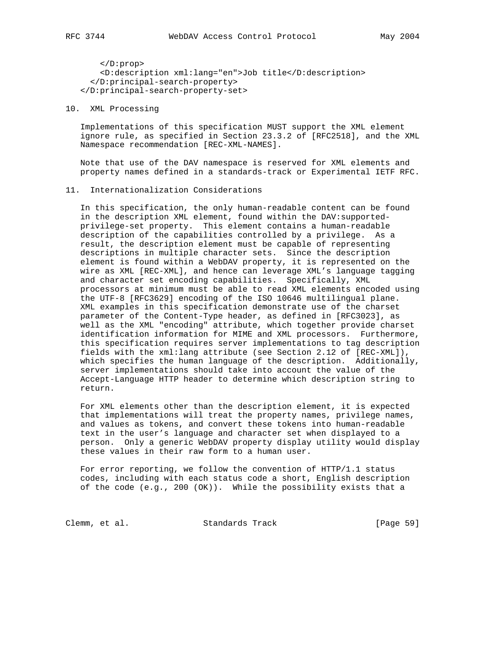</D:prop> <D:description xml:lang="en">Job title</D:description> </D:principal-search-property> </D:principal-search-property-set>

10. XML Processing

 Implementations of this specification MUST support the XML element ignore rule, as specified in Section 23.3.2 of [RFC2518], and the XML Namespace recommendation [REC-XML-NAMES].

 Note that use of the DAV namespace is reserved for XML elements and property names defined in a standards-track or Experimental IETF RFC.

#### 11. Internationalization Considerations

 In this specification, the only human-readable content can be found in the description XML element, found within the DAV:supported privilege-set property. This element contains a human-readable description of the capabilities controlled by a privilege. As a result, the description element must be capable of representing descriptions in multiple character sets. Since the description element is found within a WebDAV property, it is represented on the wire as XML [REC-XML], and hence can leverage XML's language tagging and character set encoding capabilities. Specifically, XML processors at minimum must be able to read XML elements encoded using the UTF-8 [RFC3629] encoding of the ISO 10646 multilingual plane. XML examples in this specification demonstrate use of the charset parameter of the Content-Type header, as defined in [RFC3023], as well as the XML "encoding" attribute, which together provide charset identification information for MIME and XML processors. Furthermore, this specification requires server implementations to tag description fields with the xml:lang attribute (see Section 2.12 of [REC-XML]), which specifies the human language of the description. Additionally, server implementations should take into account the value of the Accept-Language HTTP header to determine which description string to return.

 For XML elements other than the description element, it is expected that implementations will treat the property names, privilege names, and values as tokens, and convert these tokens into human-readable text in the user's language and character set when displayed to a person. Only a generic WebDAV property display utility would display these values in their raw form to a human user.

 For error reporting, we follow the convention of HTTP/1.1 status codes, including with each status code a short, English description of the code (e.g., 200 (OK)). While the possibility exists that a

Clemm, et al. Standards Track [Page 59]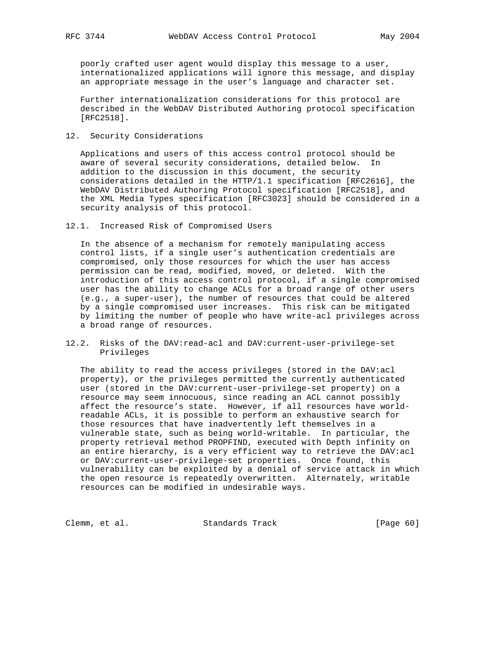poorly crafted user agent would display this message to a user, internationalized applications will ignore this message, and display an appropriate message in the user's language and character set.

 Further internationalization considerations for this protocol are described in the WebDAV Distributed Authoring protocol specification [RFC2518].

12. Security Considerations

 Applications and users of this access control protocol should be aware of several security considerations, detailed below. In addition to the discussion in this document, the security considerations detailed in the HTTP/1.1 specification [RFC2616], the WebDAV Distributed Authoring Protocol specification [RFC2518], and the XML Media Types specification [RFC3023] should be considered in a security analysis of this protocol.

12.1. Increased Risk of Compromised Users

 In the absence of a mechanism for remotely manipulating access control lists, if a single user's authentication credentials are compromised, only those resources for which the user has access permission can be read, modified, moved, or deleted. With the introduction of this access control protocol, if a single compromised user has the ability to change ACLs for a broad range of other users (e.g., a super-user), the number of resources that could be altered by a single compromised user increases. This risk can be mitigated by limiting the number of people who have write-acl privileges across a broad range of resources.

12.2. Risks of the DAV:read-acl and DAV:current-user-privilege-set Privileges

 The ability to read the access privileges (stored in the DAV:acl property), or the privileges permitted the currently authenticated user (stored in the DAV:current-user-privilege-set property) on a resource may seem innocuous, since reading an ACL cannot possibly affect the resource's state. However, if all resources have world readable ACLs, it is possible to perform an exhaustive search for those resources that have inadvertently left themselves in a vulnerable state, such as being world-writable. In particular, the property retrieval method PROPFIND, executed with Depth infinity on an entire hierarchy, is a very efficient way to retrieve the DAV:acl or DAV:current-user-privilege-set properties. Once found, this vulnerability can be exploited by a denial of service attack in which the open resource is repeatedly overwritten. Alternately, writable resources can be modified in undesirable ways.

Clemm, et al. Standards Track [Page 60]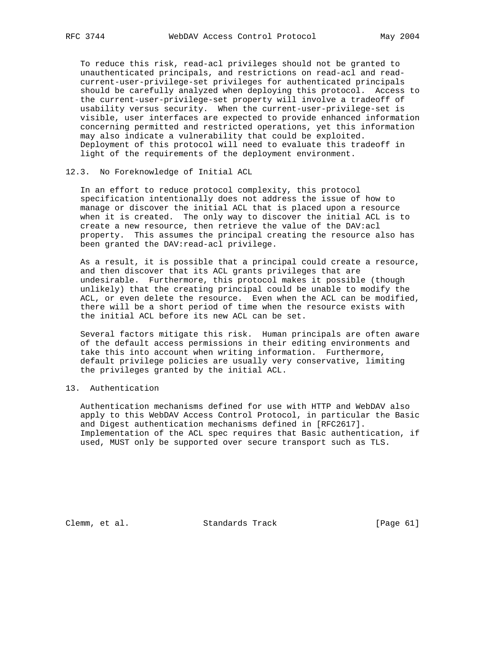To reduce this risk, read-acl privileges should not be granted to unauthenticated principals, and restrictions on read-acl and read current-user-privilege-set privileges for authenticated principals should be carefully analyzed when deploying this protocol. Access to the current-user-privilege-set property will involve a tradeoff of usability versus security. When the current-user-privilege-set is visible, user interfaces are expected to provide enhanced information concerning permitted and restricted operations, yet this information may also indicate a vulnerability that could be exploited. Deployment of this protocol will need to evaluate this tradeoff in light of the requirements of the deployment environment.

# 12.3. No Foreknowledge of Initial ACL

 In an effort to reduce protocol complexity, this protocol specification intentionally does not address the issue of how to manage or discover the initial ACL that is placed upon a resource when it is created. The only way to discover the initial ACL is to create a new resource, then retrieve the value of the DAV:acl property. This assumes the principal creating the resource also has been granted the DAV:read-acl privilege.

 As a result, it is possible that a principal could create a resource, and then discover that its ACL grants privileges that are undesirable. Furthermore, this protocol makes it possible (though unlikely) that the creating principal could be unable to modify the ACL, or even delete the resource. Even when the ACL can be modified, there will be a short period of time when the resource exists with the initial ACL before its new ACL can be set.

 Several factors mitigate this risk. Human principals are often aware of the default access permissions in their editing environments and take this into account when writing information. Furthermore, default privilege policies are usually very conservative, limiting the privileges granted by the initial ACL.

## 13. Authentication

 Authentication mechanisms defined for use with HTTP and WebDAV also apply to this WebDAV Access Control Protocol, in particular the Basic and Digest authentication mechanisms defined in [RFC2617]. Implementation of the ACL spec requires that Basic authentication, if used, MUST only be supported over secure transport such as TLS.

Clemm, et al. Standards Track [Page 61]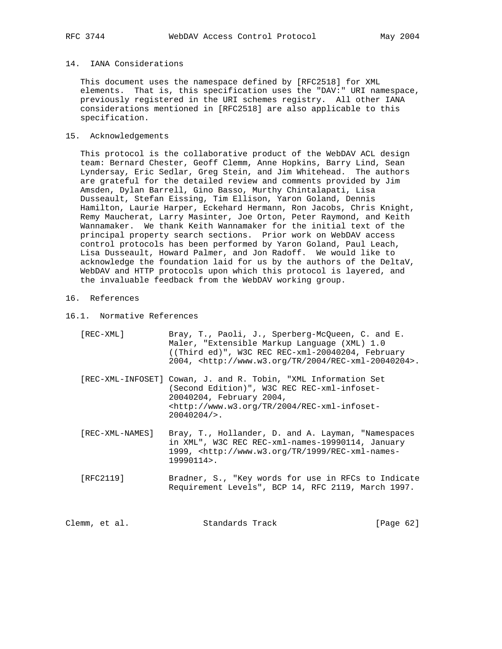## 14. IANA Considerations

 This document uses the namespace defined by [RFC2518] for XML elements. That is, this specification uses the "DAV:" URI namespace, previously registered in the URI schemes registry. All other IANA considerations mentioned in [RFC2518] are also applicable to this specification.

#### 15. Acknowledgements

 This protocol is the collaborative product of the WebDAV ACL design team: Bernard Chester, Geoff Clemm, Anne Hopkins, Barry Lind, Sean Lyndersay, Eric Sedlar, Greg Stein, and Jim Whitehead. The authors are grateful for the detailed review and comments provided by Jim Amsden, Dylan Barrell, Gino Basso, Murthy Chintalapati, Lisa Dusseault, Stefan Eissing, Tim Ellison, Yaron Goland, Dennis Hamilton, Laurie Harper, Eckehard Hermann, Ron Jacobs, Chris Knight, Remy Maucherat, Larry Masinter, Joe Orton, Peter Raymond, and Keith Wannamaker. We thank Keith Wannamaker for the initial text of the principal property search sections. Prior work on WebDAV access control protocols has been performed by Yaron Goland, Paul Leach, Lisa Dusseault, Howard Palmer, and Jon Radoff. We would like to acknowledge the foundation laid for us by the authors of the DeltaV, WebDAV and HTTP protocols upon which this protocol is layered, and the invaluable feedback from the WebDAV working group.

## 16. References

16.1. Normative References

| [REC-XML]       | Bray, T., Paoli, J., Sperberg-McQueen, C. and E.<br>Maler, "Extensible Markup Language (XML) 1.0<br>$($ (Third ed)", W3C REC REC-xml-20040204, February<br>$2004$ , $\text{http://www.w3.org/TR/2004/REC-xml-20040204>.}$              |
|-----------------|----------------------------------------------------------------------------------------------------------------------------------------------------------------------------------------------------------------------------------------|
|                 | [REC-XML-INFOSET] Cowan, J. and R. Tobin, "XML Information Set<br>(Second Edition)", W3C REC REC-xml-infoset-<br>20040204, February 2004,<br><http: 2004="" rec-xml-infoset-<br="" tr="" www.w3.org=""><math>20040204/</math>.</http:> |
| [REC-XML-NAMES] | Bray, T., Hollander, D. and A. Layman, "Namespaces<br>in XML", W3C REC REC-xml-names-19990114, January<br>$1999$ , <http: 1999="" rec-xml-names-<br="" tr="" www.w3.org=""><math>19990114</math>.</http:>                              |
| [RFC2119]       | Bradner, S., "Key words for use in RFCs to Indicate<br>Requirement Levels", BCP 14, RFC 2119, March 1997.                                                                                                                              |

Clemm, et al. Standards Track [Page 62]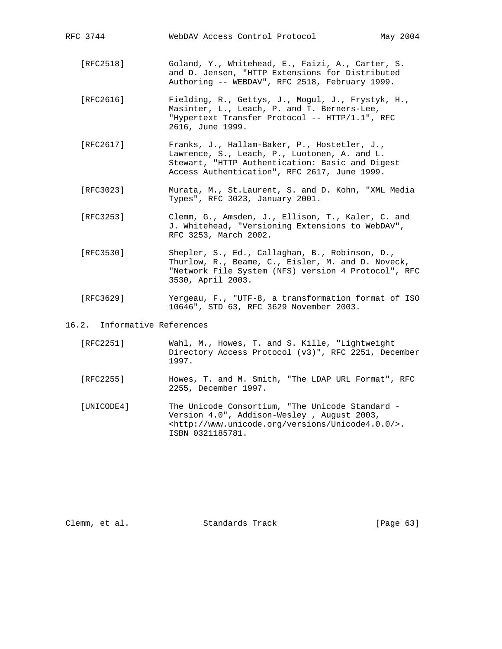| RFC 3744                     | WebDAV Access Control Protocol                                                                                                                                                                  | May 2004 |
|------------------------------|-------------------------------------------------------------------------------------------------------------------------------------------------------------------------------------------------|----------|
| [RFC2518]                    | Goland, Y., Whitehead, E., Faizi, A., Carter, S.<br>and D. Jensen, "HTTP Extensions for Distributed<br>Authoring -- WEBDAV", RFC 2518, February 1999.                                           |          |
| [RFC2616]                    | Fielding, R., Gettys, J., Mogul, J., Frystyk, H.,<br>Masinter, L., Leach, P. and T. Berners-Lee,<br>"Hypertext Transfer Protocol -- HTTP/1.1", RFC<br>2616, June 1999.                          |          |
| [RFC2617]                    | Franks, J., Hallam-Baker, P., Hostetler, J.,<br>Lawrence, S., Leach, P., Luotonen, A. and L.<br>Stewart, "HTTP Authentication: Basic and Digest<br>Access Authentication", RFC 2617, June 1999. |          |
| [RFC3023]                    | Murata, M., St.Laurent, S. and D. Kohn, "XML Media<br>Types", RFC 3023, January 2001.                                                                                                           |          |
| [RFC3253]                    | Clemm, G., Amsden, J., Ellison, T., Kaler, C. and<br>J. Whitehead, "Versioning Extensions to WebDAV",<br>RFC 3253, March 2002.                                                                  |          |
| [RFC3530]                    | Shepler, S., Ed., Callaghan, B., Robinson, D.,<br>Thurlow, R., Beame, C., Eisler, M. and D. Noveck,<br>"Network File System (NFS) version 4 Protocol", RFC<br>3530, April 2003.                 |          |
| [RFC3629]                    | Yergeau, F., "UTF-8, a transformation format of ISO<br>10646", STD 63, RFC 3629 November 2003.                                                                                                  |          |
| 16.2. Informative References |                                                                                                                                                                                                 |          |
| [RFC2251]                    | Wahl, M., Howes, T. and S. Kille, "Lightweight<br>Directory Access Protocol (v3)", RFC 2251, December<br>1997.                                                                                  |          |

- [RFC2255] Howes, T. and M. Smith, "The LDAP URL Format", RFC 2255, December 1997.
- [UNICODE4] The Unicode Consortium, "The Unicode Standard Version 4.0", Addison-Wesley , August 2003, <http://www.unicode.org/versions/Unicode4.0.0/>. ISBN 0321185781.

Clemm, et al. Standards Track [Page 63]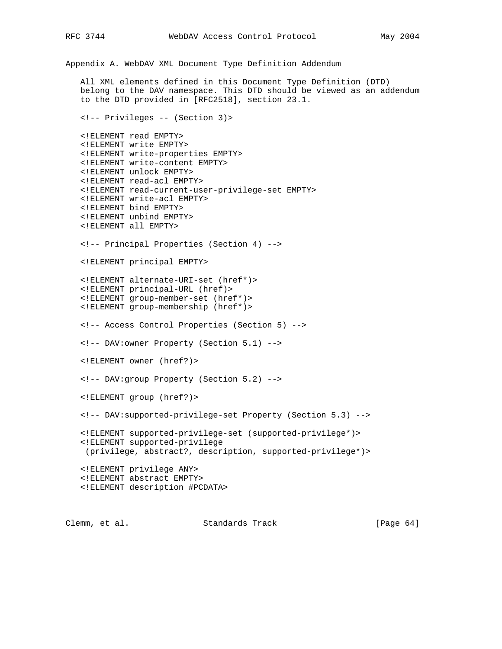Appendix A. WebDAV XML Document Type Definition Addendum All XML elements defined in this Document Type Definition (DTD) belong to the DAV namespace. This DTD should be viewed as an addendum to the DTD provided in [RFC2518], section 23.1. <!-- Privileges -- (Section 3)> <!ELEMENT read EMPTY> <!ELEMENT write EMPTY> <!ELEMENT write-properties EMPTY> <!ELEMENT write-content EMPTY> <!ELEMENT unlock EMPTY> <!ELEMENT read-acl EMPTY> <!ELEMENT read-current-user-privilege-set EMPTY> <!ELEMENT write-acl EMPTY> <!ELEMENT bind EMPTY> <!ELEMENT unbind EMPTY> <!ELEMENT all EMPTY> <!-- Principal Properties (Section 4) --> <!ELEMENT principal EMPTY> <!ELEMENT alternate-URI-set (href\*)> <!ELEMENT principal-URL (href)> <!ELEMENT group-member-set (href\*)> <!ELEMENT group-membership (href\*)> <!-- Access Control Properties (Section 5) --> <!-- DAV:owner Property (Section 5.1) --> <!ELEMENT owner (href?)> <!-- DAV:group Property (Section 5.2) --> <!ELEMENT group (href?)> <!-- DAV:supported-privilege-set Property (Section 5.3) --> <!ELEMENT supported-privilege-set (supported-privilege\*)> <!ELEMENT supported-privilege (privilege, abstract?, description, supported-privilege\*)> <!ELEMENT privilege ANY> <!ELEMENT abstract EMPTY> <!ELEMENT description #PCDATA>

Clemm, et al. Standards Track [Page 64]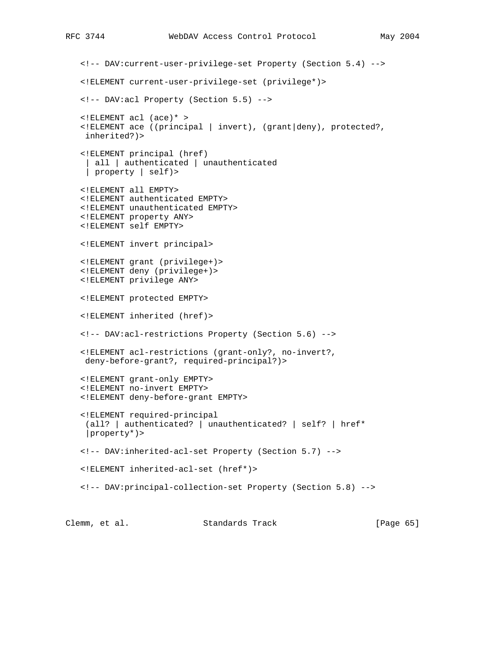```
 <!-- DAV:current-user-privilege-set Property (Section 5.4) -->
 <!ELEMENT current-user-privilege-set (privilege*)>
 <!-- DAV:acl Property (Section 5.5) -->
 <!ELEMENT acl (ace)* >
 <!ELEMENT ace ((principal | invert), (grant|deny), protected?,
 inherited?)>
 <!ELEMENT principal (href)
 | all | authenticated | unauthenticated
  | property | self)>
 <!ELEMENT all EMPTY>
 <!ELEMENT authenticated EMPTY>
 <!ELEMENT unauthenticated EMPTY>
 <!ELEMENT property ANY>
 <!ELEMENT self EMPTY>
 <!ELEMENT invert principal>
 <!ELEMENT grant (privilege+)>
 <!ELEMENT deny (privilege+)>
 <!ELEMENT privilege ANY>
 <!ELEMENT protected EMPTY>
 <!ELEMENT inherited (href)>
 <!-- DAV:acl-restrictions Property (Section 5.6) -->
 <!ELEMENT acl-restrictions (grant-only?, no-invert?,
 deny-before-grant?, required-principal?)>
 <!ELEMENT grant-only EMPTY>
 <!ELEMENT no-invert EMPTY>
 <!ELEMENT deny-before-grant EMPTY>
 <!ELEMENT required-principal
  (all? | authenticated? | unauthenticated? | self? | href*
  |property*)>
 <!-- DAV:inherited-acl-set Property (Section 5.7) -->
 <!ELEMENT inherited-acl-set (href*)>
 <!-- DAV:principal-collection-set Property (Section 5.8) -->
```
Clemm, et al. Standards Track [Page 65]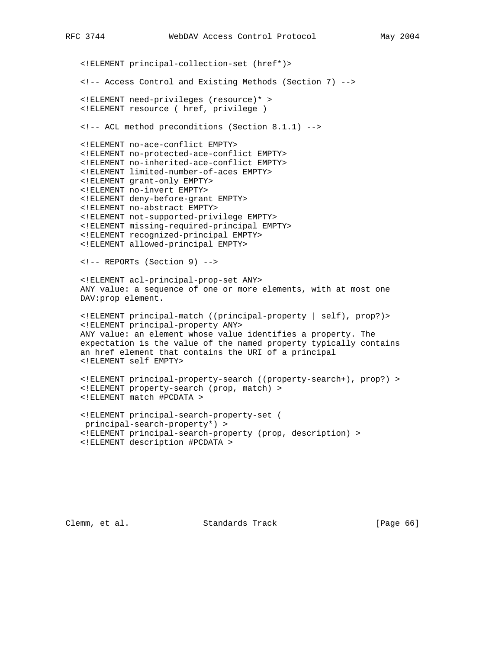<!ELEMENT principal-collection-set (href\*)> <!-- Access Control and Existing Methods (Section 7) --> <!ELEMENT need-privileges (resource)\* > <!ELEMENT resource ( href, privilege ) <!-- ACL method preconditions (Section 8.1.1) --> <!ELEMENT no-ace-conflict EMPTY> <!ELEMENT no-protected-ace-conflict EMPTY> <!ELEMENT no-inherited-ace-conflict EMPTY> <!ELEMENT limited-number-of-aces EMPTY> <!ELEMENT grant-only EMPTY> <!ELEMENT no-invert EMPTY> <!ELEMENT deny-before-grant EMPTY> <!ELEMENT no-abstract EMPTY> <!ELEMENT not-supported-privilege EMPTY> <!ELEMENT missing-required-principal EMPTY> <!ELEMENT recognized-principal EMPTY> <!ELEMENT allowed-principal EMPTY> <!-- REPORTs (Section 9) --> <!ELEMENT acl-principal-prop-set ANY> ANY value: a sequence of one or more elements, with at most one DAV:prop element. <!ELEMENT principal-match ((principal-property | self), prop?)> <!ELEMENT principal-property ANY> ANY value: an element whose value identifies a property. The expectation is the value of the named property typically contains an href element that contains the URI of a principal <!ELEMENT self EMPTY> <!ELEMENT principal-property-search ((property-search+), prop?) > <!ELEMENT property-search (prop, match) > <!ELEMENT match #PCDATA > <!ELEMENT principal-search-property-set ( principal-search-property\*) > <!ELEMENT principal-search-property (prop, description) > <!ELEMENT description #PCDATA >

Clemm, et al. Standards Track [Page 66]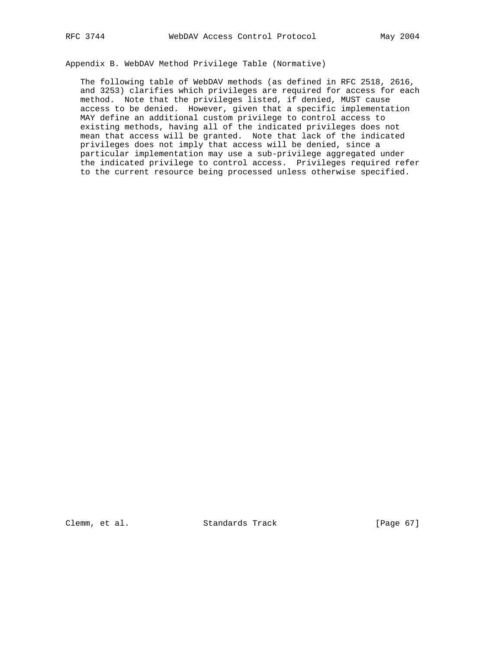Appendix B. WebDAV Method Privilege Table (Normative)

 The following table of WebDAV methods (as defined in RFC 2518, 2616, and 3253) clarifies which privileges are required for access for each method. Note that the privileges listed, if denied, MUST cause access to be denied. However, given that a specific implementation MAY define an additional custom privilege to control access to existing methods, having all of the indicated privileges does not mean that access will be granted. Note that lack of the indicated privileges does not imply that access will be denied, since a particular implementation may use a sub-privilege aggregated under the indicated privilege to control access. Privileges required refer to the current resource being processed unless otherwise specified.

Clemm, et al. Standards Track [Page 67]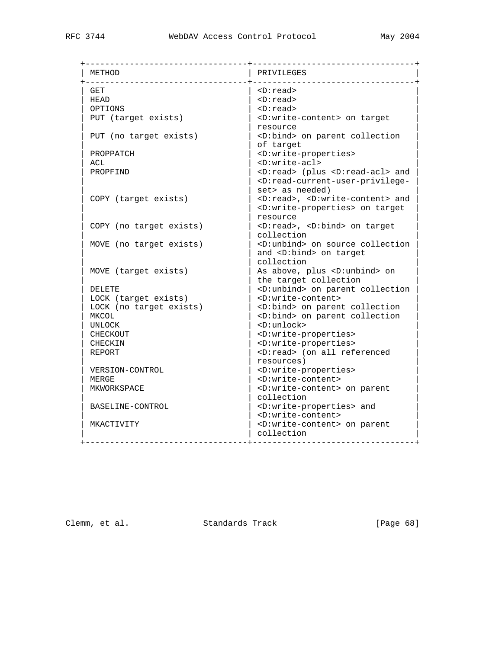| METHOD                  | PRIVILEGES                                                                        |
|-------------------------|-----------------------------------------------------------------------------------|
| <b>GET</b>              | <d:read></d:read>                                                                 |
| HEAD                    | $\langle D: read \rangle$                                                         |
| OPTIONS                 | $\langle D: read \rangle$                                                         |
| PUT (target exists)     | <d:write-content> on target</d:write-content>                                     |
|                         | resource                                                                          |
| PUT (no target exists)  | <d:bind> on parent collection</d:bind>                                            |
|                         | of target                                                                         |
| PROPPATCH               | <d:write-properties></d:write-properties>                                         |
| ACL                     | $D:write -ac1$                                                                    |
| PROPFIND                | <d:read> (plus <d:read-acl> and</d:read-acl></d:read>                             |
|                         | <d:read-current-user-privilege-< td=""></d:read-current-user-privilege-<>         |
|                         | set> as needed)                                                                   |
| COPY (target exists)    | <d:read>, <d:write-content> and</d:write-content></d:read>                        |
|                         | <d:write-properties> on target</d:write-properties>                               |
|                         | resource                                                                          |
| COPY (no target exists) | <d:read>, <d:bind> on target</d:bind></d:read>                                    |
|                         | collection                                                                        |
| MOVE (no target exists) | <d:unbind> on source collection</d:unbind>                                        |
|                         | and <d:bind> on target</d:bind>                                                   |
|                         | collection                                                                        |
| MOVE (target exists)    | As above, plus <d:unbind> on</d:unbind>                                           |
|                         | the target collection                                                             |
| <b>DELETE</b>           | <d:unbind> on parent collection</d:unbind>                                        |
| LOCK (target exists)    | <d:write-content></d:write-content>                                               |
| LOCK (no target exists) | <d:bind> on parent collection</d:bind>                                            |
| MKCOL                   | <d:bind> on parent collection</d:bind>                                            |
| UNLOCK                  | $D:$ unlock>                                                                      |
| <b>CHECKOUT</b>         | <d:write-properties></d:write-properties>                                         |
| <b>CHECKIN</b>          | <d:write-properties></d:write-properties>                                         |
| <b>REPORT</b>           | <d:read> (on all referenced</d:read>                                              |
|                         | resources)                                                                        |
| VERSION-CONTROL         |                                                                                   |
| MERGE                   | <d:write-properties><br/><d:write-content></d:write-content></d:write-properties> |
| MKWORKSPACE             |                                                                                   |
|                         | <d:write-content> on parent<br/>collection</d:write-content>                      |
|                         |                                                                                   |
| BASELINE-CONTROL        | <d:write-properties> and</d:write-properties>                                     |
|                         | <d:write-content></d:write-content>                                               |
| MKACTIVITY              | <d:write-content> on parent</d:write-content>                                     |
|                         | collection                                                                        |

Clemm, et al. Standards Track [Page 68]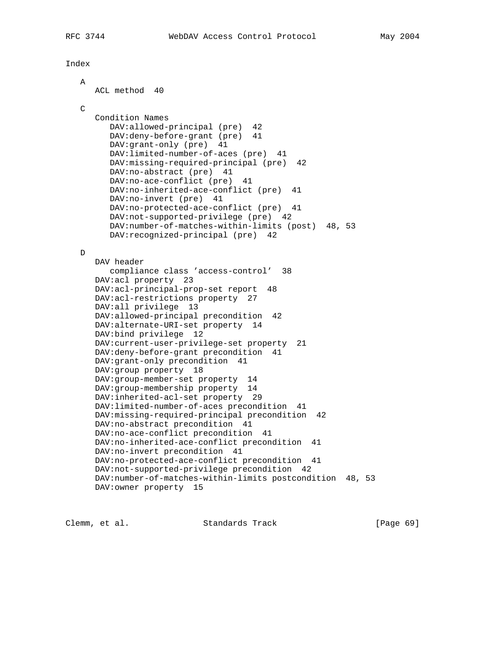Index

# A ACL method 40  $\mathcal{C}$  Condition Names DAV:allowed-principal (pre) 42 DAV:deny-before-grant (pre) 41 DAV:grant-only (pre) 41 DAV:limited-number-of-aces (pre) 41 DAV:missing-required-principal (pre) 42 DAV:no-abstract (pre) 41 DAV:no-ace-conflict (pre) 41 DAV:no-inherited-ace-conflict (pre) 41 DAV:no-invert (pre) 41 DAV:no-protected-ace-conflict (pre) 41 DAV:not-supported-privilege (pre) 42 DAV:number-of-matches-within-limits (post) 48, 53 DAV:recognized-principal (pre) 42 D DAV header compliance class 'access-control' 38 DAV:acl property 23 DAV:acl-principal-prop-set report 48 DAV:acl-restrictions property 27 DAV:all privilege 13 DAV:allowed-principal precondition 42 DAV:alternate-URI-set property 14 DAV:bind privilege 12 DAV:current-user-privilege-set property 21 DAV:deny-before-grant precondition 41 DAV:grant-only precondition 41 DAV:group property 18 DAV:group-member-set property 14 DAV:group-membership property 14 DAV:inherited-acl-set property 29 DAV:limited-number-of-aces precondition 41 DAV:missing-required-principal precondition 42 DAV:no-abstract precondition 41 DAV:no-ace-conflict precondition 41 DAV:no-inherited-ace-conflict precondition 41 DAV:no-invert precondition 41 DAV:no-protected-ace-conflict precondition 41 DAV:not-supported-privilege precondition 42 DAV:number-of-matches-within-limits postcondition 48, 53 DAV:owner property 15

Clemm, et al. Standards Track [Page 69]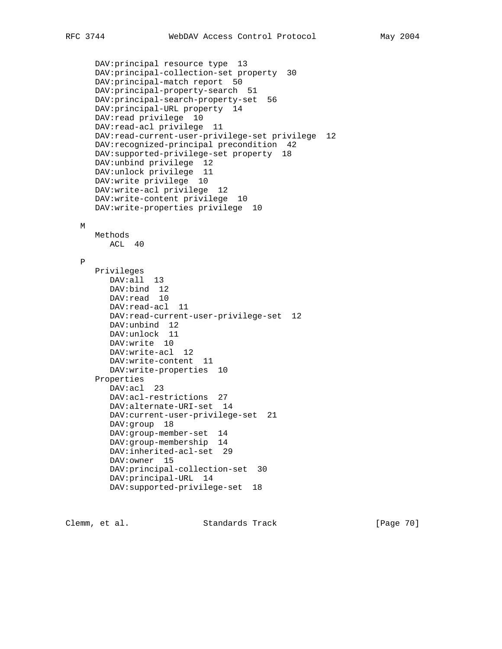```
 DAV:principal resource type 13
 DAV:principal-collection-set property 30
 DAV:principal-match report 50
 DAV:principal-property-search 51
 DAV:principal-search-property-set 56
 DAV:principal-URL property 14
 DAV:read privilege 10
 DAV:read-acl privilege 11
 DAV:read-current-user-privilege-set privilege 12
 DAV:recognized-principal precondition 42
 DAV:supported-privilege-set property 18
 DAV:unbind privilege 12
 DAV:unlock privilege 11
 DAV:write privilege 10
 DAV:write-acl privilege 12
 DAV:write-content privilege 10
 DAV:write-properties privilege 10
 Methods
   ACL 40
 Privileges
    DAV:all 13
    DAV:bind 12
   DAV:read 10
    DAV:read-acl 11
    DAV:read-current-user-privilege-set 12
    DAV:unbind 12
    DAV:unlock 11
    DAV:write 10
   DAV:write-acl 12
   DAV:write-content 11
   DAV:write-properties 10
 Properties
    DAV:acl 23
    DAV:acl-restrictions 27
    DAV:alternate-URI-set 14
    DAV:current-user-privilege-set 21
    DAV:group 18
    DAV:group-member-set 14
    DAV:group-membership 14
    DAV:inherited-acl-set 29
    DAV:owner 15
    DAV:principal-collection-set 30
    DAV:principal-URL 14
    DAV:supported-privilege-set 18
```
Clemm, et al. Standards Track [Page 70]

M

P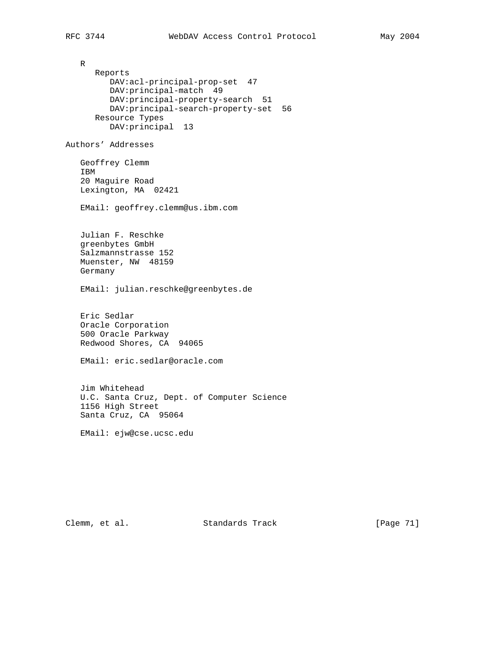R Reports DAV:acl-principal-prop-set 47 DAV:principal-match 49 DAV:principal-property-search 51 DAV:principal-search-property-set 56 Resource Types DAV:principal 13 Authors' Addresses Geoffrey Clemm IBM 20 Maguire Road Lexington, MA 02421 EMail: geoffrey.clemm@us.ibm.com Julian F. Reschke greenbytes GmbH Salzmannstrasse 152 Muenster, NW 48159 Germany EMail: julian.reschke@greenbytes.de Eric Sedlar Oracle Corporation 500 Oracle Parkway Redwood Shores, CA 94065 EMail: eric.sedlar@oracle.com Jim Whitehead U.C. Santa Cruz, Dept. of Computer Science 1156 High Street Santa Cruz, CA 95064 EMail: ejw@cse.ucsc.edu

Clemm, et al. Standards Track [Page 71]